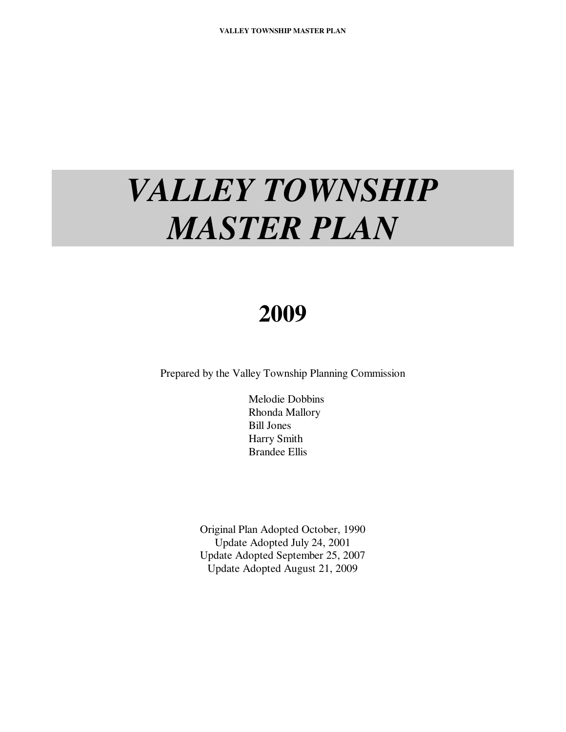# **2009**

Prepared by the Valley Township Planning Commission

Melodie Dobbins Rhonda Mallory Bill Jones Harry Smith Brandee Ellis

Original Plan Adopted October, 1990 Update Adopted July 24, 2001 Update Adopted September 25, 2007 Update Adopted August 21, 2009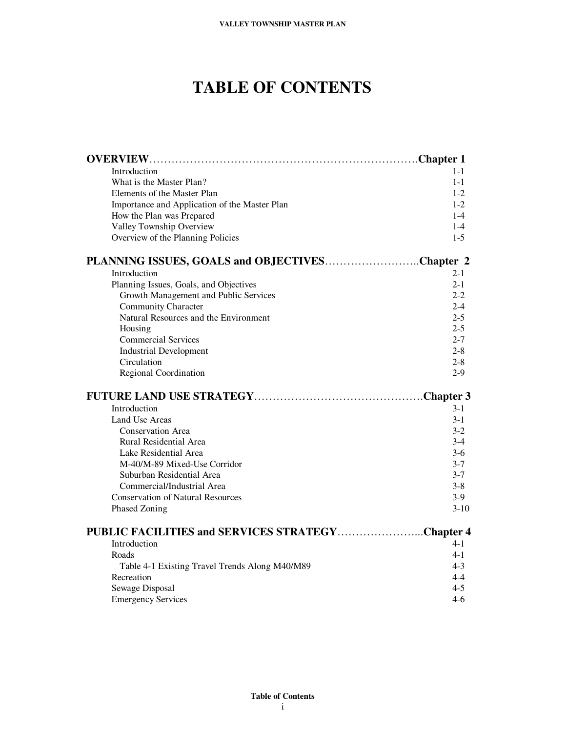# **TABLE OF CONTENTS**

| Introduction                                     | $1 - 1$ |
|--------------------------------------------------|---------|
| What is the Master Plan?                         | $1 - 1$ |
| Elements of the Master Plan                      | $1 - 2$ |
| Importance and Application of the Master Plan    | $1 - 2$ |
| How the Plan was Prepared                        | $1 - 4$ |
| Valley Township Overview                         | $1 - 4$ |
| Overview of the Planning Policies                | $1 - 5$ |
| PLANNING ISSUES, GOALS and OBJECTIVESChapter 2   |         |
| Introduction                                     | $2 - 1$ |
| Planning Issues, Goals, and Objectives           | $2 - 1$ |
| Growth Management and Public Services            | $2 - 2$ |
| <b>Community Character</b>                       | $2 - 4$ |
| Natural Resources and the Environment            | $2 - 5$ |
| Housing                                          | $2 - 5$ |
| <b>Commercial Services</b>                       | $2 - 7$ |
| <b>Industrial Development</b>                    | $2 - 8$ |
| Circulation                                      | $2 - 8$ |
| Regional Coordination                            | $2-9$   |
|                                                  |         |
| Introduction                                     | $3-1$   |
| Land Use Areas                                   | $3-1$   |
| <b>Conservation Area</b>                         | $3-2$   |
| Rural Residential Area                           | $3-4$   |
| Lake Residential Area                            | $3-6$   |
| M-40/M-89 Mixed-Use Corridor                     | $3 - 7$ |
| Suburban Residential Area                        | $3 - 7$ |
| Commercial/Industrial Area                       | $3 - 8$ |
| <b>Conservation of Natural Resources</b>         | $3-9$   |
| Phased Zoning                                    | $3-10$  |
| PUBLIC FACILITIES and SERVICES STRATEGYChapter 4 |         |
| Introduction                                     | $4 - 1$ |
| Roads                                            | $4 - 1$ |
| Table 4-1 Existing Travel Trends Along M40/M89   | $4 - 3$ |
| Recreation                                       | $4 - 4$ |
| Sewage Disposal                                  | $4 - 5$ |
| <b>Emergency Services</b>                        | $4-6$   |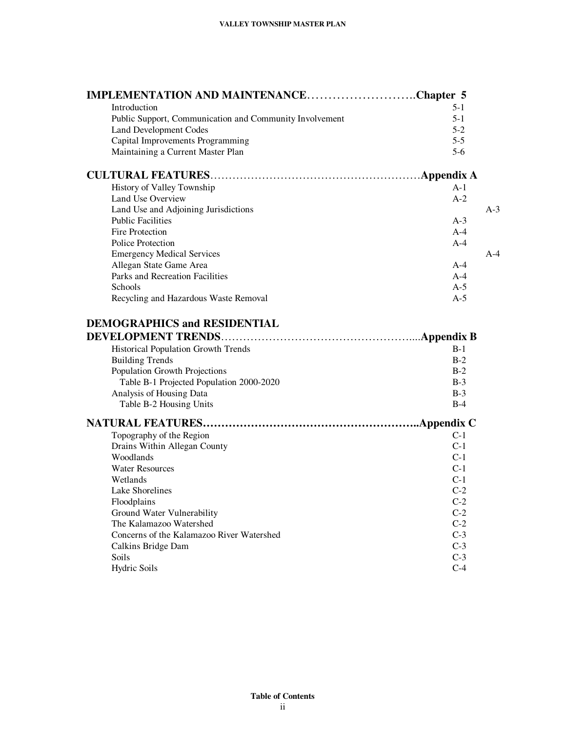| IMPLEMENTATION AND MAINTENANCEChapter 5                 |         |
|---------------------------------------------------------|---------|
| Introduction                                            | $5-1$   |
| Public Support, Communication and Community Involvement | $5 - 1$ |
| <b>Land Development Codes</b>                           | $5 - 2$ |
| Capital Improvements Programming                        | $5 - 5$ |
| Maintaining a Current Master Plan                       | $5-6$   |
|                                                         |         |
| History of Valley Township                              | $A-1$   |
| Land Use Overview                                       | $A-2$   |
| Land Use and Adjoining Jurisdictions                    | $A-3$   |
| <b>Public Facilities</b>                                | $A-3$   |
| Fire Protection                                         | $A-4$   |
| Police Protection                                       | $A-4$   |
| <b>Emergency Medical Services</b>                       | $A-4$   |
| Allegan State Game Area                                 | $A-4$   |
| Parks and Recreation Facilities                         | $A-4$   |
| Schools                                                 | $A-5$   |
| Recycling and Hazardous Waste Removal                   | $A-5$   |
| <b>DEMOGRAPHICS and RESIDENTIAL</b>                     |         |
|                                                         |         |
| Historical Population Growth Trends                     | $B-1$   |
| <b>Building Trends</b>                                  | $B-2$   |
| Population Growth Projections                           | $B-2$   |
| Table B-1 Projected Population 2000-2020                | $B-3$   |
| Analysis of Housing Data                                | $B-3$   |
| Table B-2 Housing Units                                 | $B-4$   |
|                                                         |         |
| Topography of the Region                                | $C-1$   |
| Drains Within Allegan County                            | $C-1$   |
| Woodlands                                               | $C-1$   |
| <b>Water Resources</b>                                  | $C-1$   |
| Wetlands                                                | $C-1$   |
| <b>Lake Shorelines</b>                                  | $C-2$   |
| Floodplains                                             | $C-2$   |
| Ground Water Vulnerability                              | $C-2$   |
| The Kalamazoo Watershed                                 | $C-2$   |
| Concerns of the Kalamazoo River Watershed               | $C-3$   |
| Calkins Bridge Dam                                      | $C-3$   |
| Soils                                                   | $C-3$   |
| <b>Hydric Soils</b>                                     | $C-4$   |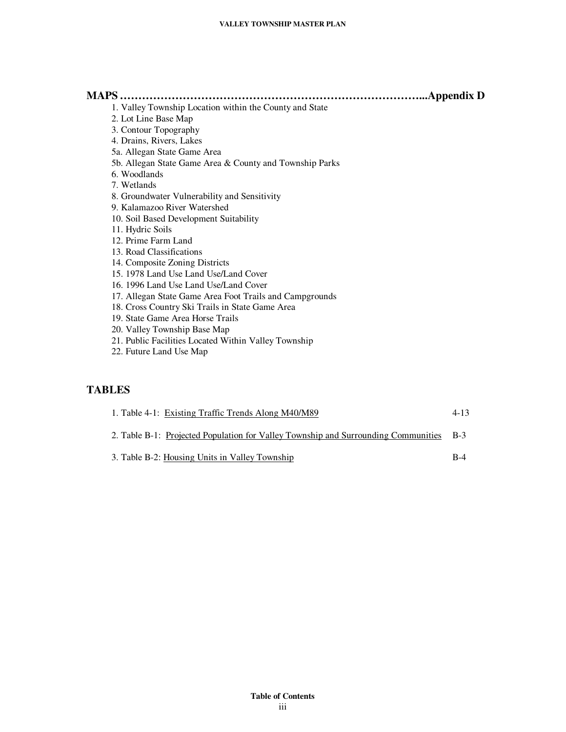| <b>MAPS</b><br>Appendix D.                              |          |
|---------------------------------------------------------|----------|
| 1. Valley Township Location within the County and State |          |
| 2. Lot Line Base Map                                    |          |
| 3. Contour Topography                                   |          |
| 4. Drains, Rivers, Lakes                                |          |
| 5a. Allegan State Game Area                             |          |
| 5b. Allegan State Game Area & County and Township Parks |          |
| 6. Woodlands                                            |          |
| 7. Wetlands                                             |          |
| 8. Groundwater Vulnerability and Sensitivity            |          |
| 9. Kalamazoo River Watershed                            |          |
| 10. Soil Based Development Suitability                  |          |
| 11. Hydric Soils                                        |          |
| 12. Prime Farm Land                                     |          |
| 13. Road Classifications                                |          |
| 14. Composite Zoning Districts                          |          |
| 15. 1978 Land Use Land Use/Land Cover                   |          |
| 16. 1996 Land Use Land Use/Land Cover                   |          |
| 17. Allegan State Game Area Foot Trails and Campgrounds |          |
| 18. Cross Country Ski Trails in State Game Area         |          |
| 19. State Game Area Horse Trails                        |          |
| 20. Valley Township Base Map                            |          |
| 21. Public Facilities Located Within Valley Township    |          |
| 22. Future Land Use Map                                 |          |
|                                                         |          |
|                                                         |          |
| <b>TABLES</b>                                           |          |
| 1. Table 4-1: Existing Traffic Trends Along M40/M89     | $4 - 13$ |

- 2. Table B-1: Projected Population for Valley Township and Surrounding Communities B-3
- 3. Table B-2: Housing Units in Valley Township B-4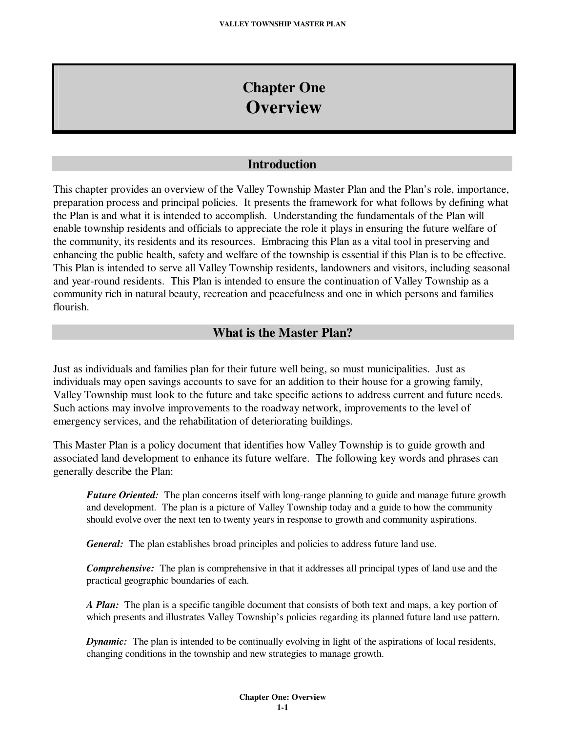# **Chapter One Overview**

## **Introduction**

This chapter provides an overview of the Valley Township Master Plan and the Plan's role, importance, preparation process and principal policies. It presents the framework for what follows by defining what the Plan is and what it is intended to accomplish. Understanding the fundamentals of the Plan will enable township residents and officials to appreciate the role it plays in ensuring the future welfare of the community, its residents and its resources. Embracing this Plan as a vital tool in preserving and enhancing the public health, safety and welfare of the township is essential if this Plan is to be effective. This Plan is intended to serve all Valley Township residents, landowners and visitors, including seasonal and year-round residents. This Plan is intended to ensure the continuation of Valley Township as a community rich in natural beauty, recreation and peacefulness and one in which persons and families flourish.

### **What is the Master Plan?**

Just as individuals and families plan for their future well being, so must municipalities. Just as individuals may open savings accounts to save for an addition to their house for a growing family, Valley Township must look to the future and take specific actions to address current and future needs. Such actions may involve improvements to the roadway network, improvements to the level of emergency services, and the rehabilitation of deteriorating buildings.

This Master Plan is a policy document that identifies how Valley Township is to guide growth and associated land development to enhance its future welfare. The following key words and phrases can generally describe the Plan:

*Future Oriented:* The plan concerns itself with long-range planning to guide and manage future growth and development. The plan is a picture of Valley Township today and a guide to how the community should evolve over the next ten to twenty years in response to growth and community aspirations.

*General:* The plan establishes broad principles and policies to address future land use.

*Comprehensive:* The plan is comprehensive in that it addresses all principal types of land use and the practical geographic boundaries of each.

*A Plan:* The plan is a specific tangible document that consists of both text and maps, a key portion of which presents and illustrates Valley Township's policies regarding its planned future land use pattern.

*Dynamic:* The plan is intended to be continually evolving in light of the aspirations of local residents, changing conditions in the township and new strategies to manage growth.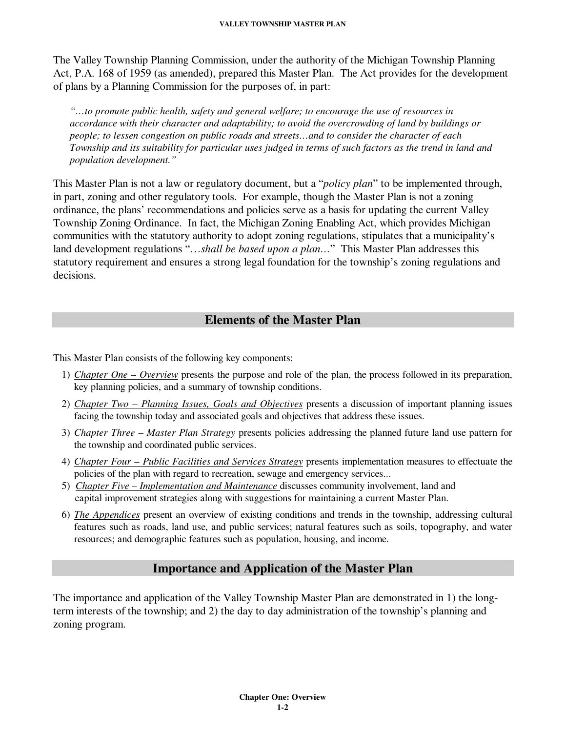The Valley Township Planning Commission, under the authority of the Michigan Township Planning Act, P.A. 168 of 1959 (as amended), prepared this Master Plan. The Act provides for the development of plans by a Planning Commission for the purposes of, in part:

*"…to promote public health, safety and general welfare; to encourage the use of resources in accordance with their character and adaptability; to avoid the overcrowding of land by buildings or people; to lessen congestion on public roads and streets…and to consider the character of each Township and its suitability for particular uses judged in terms of such factors as the trend in land and population development."* 

This Master Plan is not a law or regulatory document, but a "*policy plan*" to be implemented through, in part, zoning and other regulatory tools. For example, though the Master Plan is not a zoning ordinance, the plans' recommendations and policies serve as a basis for updating the current Valley Township Zoning Ordinance. In fact, the Michigan Zoning Enabling Act, which provides Michigan communities with the statutory authority to adopt zoning regulations, stipulates that a municipality's land development regulations "…*shall be based upon a plan…*" This Master Plan addresses this statutory requirement and ensures a strong legal foundation for the township's zoning regulations and decisions.

### **Elements of the Master Plan**

This Master Plan consists of the following key components:

- 1) *Chapter One Overview* presents the purpose and role of the plan, the process followed in its preparation, key planning policies, and a summary of township conditions.
- 2) *Chapter Two Planning Issues, Goals and Objectives* presents a discussion of important planning issues facing the township today and associated goals and objectives that address these issues.
- 3) *Chapter Three Master Plan Strategy* presents policies addressing the planned future land use pattern for the township and coordinated public services.
- 4) *Chapter Four Public Facilities and Services Strategy* presents implementation measures to effectuate the policies of the plan with regard to recreation, sewage and emergency services...
- 5) *Chapter Five Implementation and Maintenance* discusses community involvement, land and capital improvement strategies along with suggestions for maintaining a current Master Plan.
- 6) *The Appendices* present an overview of existing conditions and trends in the township, addressing cultural features such as roads, land use, and public services; natural features such as soils, topography, and water resources; and demographic features such as population, housing, and income.

# **Importance and Application of the Master Plan**

The importance and application of the Valley Township Master Plan are demonstrated in 1) the longterm interests of the township; and 2) the day to day administration of the township's planning and zoning program.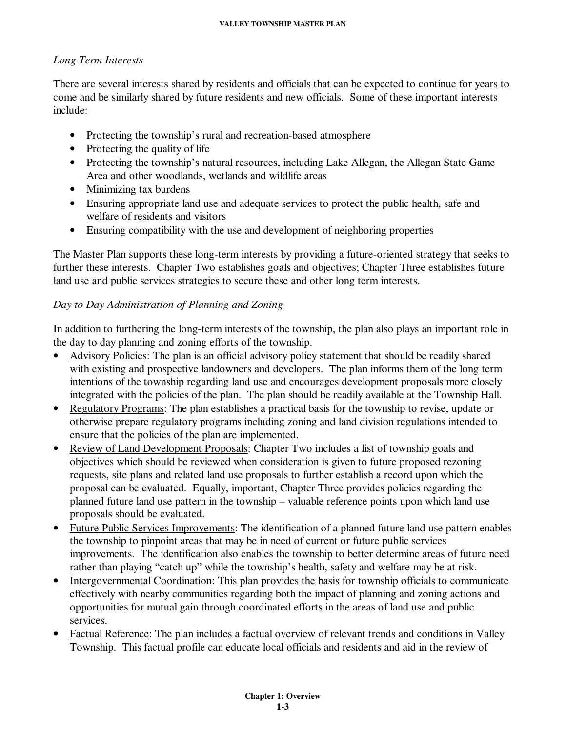## *Long Term Interests*

There are several interests shared by residents and officials that can be expected to continue for years to come and be similarly shared by future residents and new officials. Some of these important interests include:

- Protecting the township's rural and recreation-based atmosphere
- Protecting the quality of life
- Protecting the township's natural resources, including Lake Allegan, the Allegan State Game Area and other woodlands, wetlands and wildlife areas
- Minimizing tax burdens
- Ensuring appropriate land use and adequate services to protect the public health, safe and welfare of residents and visitors
- Ensuring compatibility with the use and development of neighboring properties

The Master Plan supports these long-term interests by providing a future-oriented strategy that seeks to further these interests. Chapter Two establishes goals and objectives; Chapter Three establishes future land use and public services strategies to secure these and other long term interests.

# *Day to Day Administration of Planning and Zoning*

In addition to furthering the long-term interests of the township, the plan also plays an important role in the day to day planning and zoning efforts of the township.

- Advisory Policies: The plan is an official advisory policy statement that should be readily shared with existing and prospective landowners and developers. The plan informs them of the long term intentions of the township regarding land use and encourages development proposals more closely integrated with the policies of the plan. The plan should be readily available at the Township Hall.
- Regulatory Programs: The plan establishes a practical basis for the township to revise, update or otherwise prepare regulatory programs including zoning and land division regulations intended to ensure that the policies of the plan are implemented.
- Review of Land Development Proposals: Chapter Two includes a list of township goals and objectives which should be reviewed when consideration is given to future proposed rezoning requests, site plans and related land use proposals to further establish a record upon which the proposal can be evaluated. Equally, important, Chapter Three provides policies regarding the planned future land use pattern in the township – valuable reference points upon which land use proposals should be evaluated.
- Future Public Services Improvements: The identification of a planned future land use pattern enables the township to pinpoint areas that may be in need of current or future public services improvements. The identification also enables the township to better determine areas of future need rather than playing "catch up" while the township's health, safety and welfare may be at risk.
- Intergovernmental Coordination: This plan provides the basis for township officials to communicate effectively with nearby communities regarding both the impact of planning and zoning actions and opportunities for mutual gain through coordinated efforts in the areas of land use and public services.
- Factual Reference: The plan includes a factual overview of relevant trends and conditions in Valley Township. This factual profile can educate local officials and residents and aid in the review of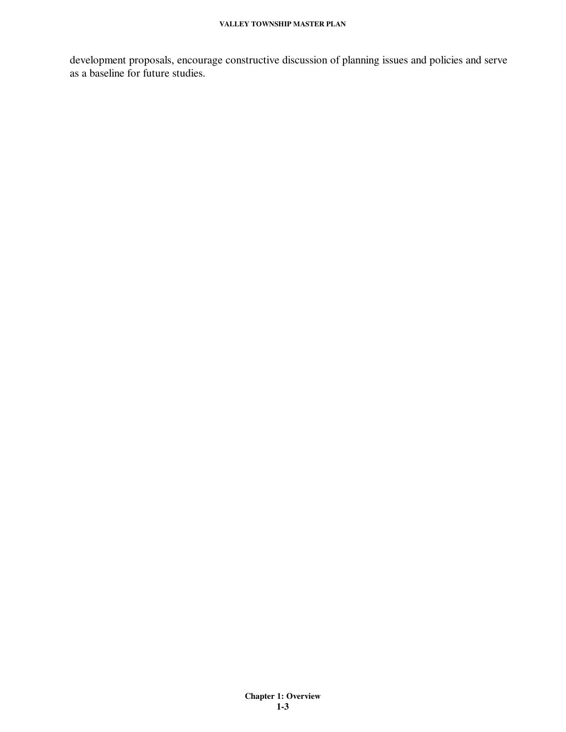development proposals, encourage constructive discussion of planning issues and policies and serve as a baseline for future studies.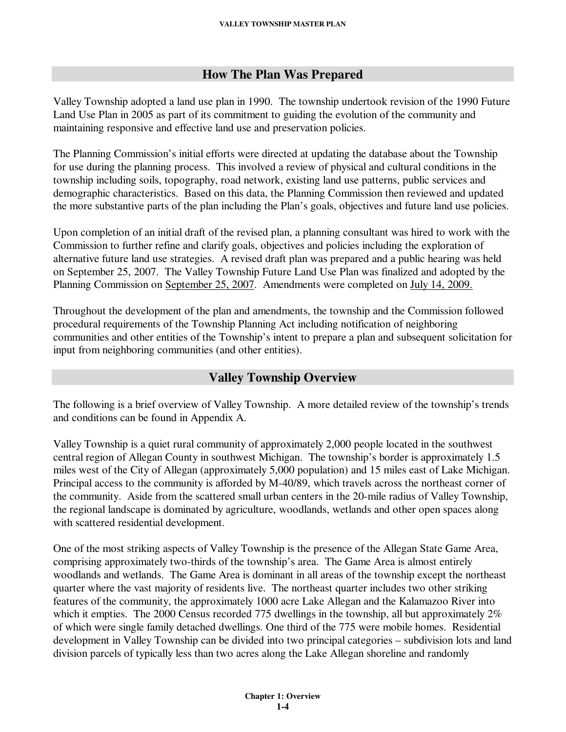## **How The Plan Was Prepared**

Valley Township adopted a land use plan in 1990. The township undertook revision of the 1990 Future Land Use Plan in 2005 as part of its commitment to guiding the evolution of the community and maintaining responsive and effective land use and preservation policies.

The Planning Commission's initial efforts were directed at updating the database about the Township for use during the planning process. This involved a review of physical and cultural conditions in the township including soils, topography, road network, existing land use patterns, public services and demographic characteristics. Based on this data, the Planning Commission then reviewed and updated the more substantive parts of the plan including the Plan's goals, objectives and future land use policies.

Upon completion of an initial draft of the revised plan, a planning consultant was hired to work with the Commission to further refine and clarify goals, objectives and policies including the exploration of alternative future land use strategies. A revised draft plan was prepared and a public hearing was held on September 25, 2007. The Valley Township Future Land Use Plan was finalized and adopted by the Planning Commission on September 25, 2007. Amendments were completed on July 14, 2009.

Throughout the development of the plan and amendments, the township and the Commission followed procedural requirements of the Township Planning Act including notification of neighboring communities and other entities of the Township's intent to prepare a plan and subsequent solicitation for input from neighboring communities (and other entities).

# **Valley Township Overview**

The following is a brief overview of Valley Township. A more detailed review of the township's trends and conditions can be found in Appendix A.

Valley Township is a quiet rural community of approximately 2,000 people located in the southwest central region of Allegan County in southwest Michigan. The township's border is approximately 1.5 miles west of the City of Allegan (approximately 5,000 population) and 15 miles east of Lake Michigan. Principal access to the community is afforded by M-40/89, which travels across the northeast corner of the community. Aside from the scattered small urban centers in the 20-mile radius of Valley Township, the regional landscape is dominated by agriculture, woodlands, wetlands and other open spaces along with scattered residential development.

One of the most striking aspects of Valley Township is the presence of the Allegan State Game Area, comprising approximately two-thirds of the township's area. The Game Area is almost entirely woodlands and wetlands. The Game Area is dominant in all areas of the township except the northeast quarter where the vast majority of residents live. The northeast quarter includes two other striking features of the community, the approximately 1000 acre Lake Allegan and the Kalamazoo River into which it empties. The 2000 Census recorded 775 dwellings in the township, all but approximately 2% of which were single family detached dwellings. One third of the 775 were mobile homes. Residential development in Valley Township can be divided into two principal categories – subdivision lots and land division parcels of typically less than two acres along the Lake Allegan shoreline and randomly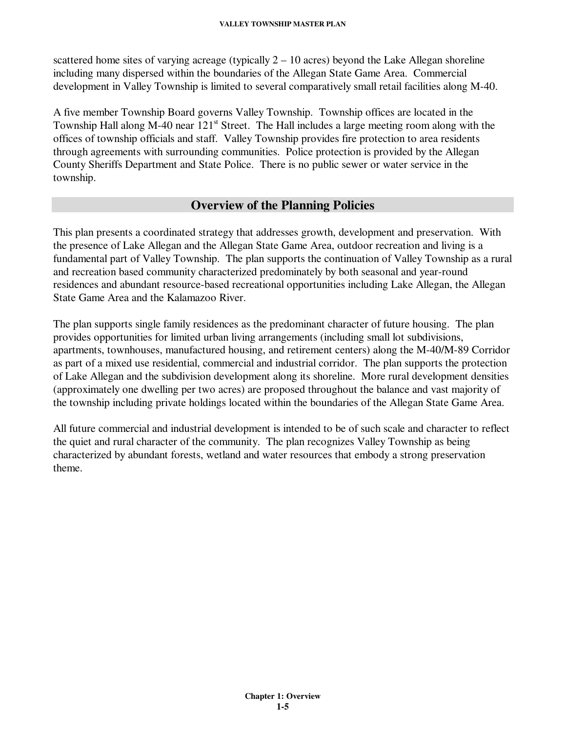scattered home sites of varying acreage (typically  $2 - 10$  acres) beyond the Lake Allegan shoreline including many dispersed within the boundaries of the Allegan State Game Area. Commercial development in Valley Township is limited to several comparatively small retail facilities along M-40.

A five member Township Board governs Valley Township. Township offices are located in the Township Hall along M-40 near 121<sup>st</sup> Street. The Hall includes a large meeting room along with the offices of township officials and staff. Valley Township provides fire protection to area residents through agreements with surrounding communities. Police protection is provided by the Allegan County Sheriffs Department and State Police. There is no public sewer or water service in the township.

### **Overview of the Planning Policies**

This plan presents a coordinated strategy that addresses growth, development and preservation. With the presence of Lake Allegan and the Allegan State Game Area, outdoor recreation and living is a fundamental part of Valley Township. The plan supports the continuation of Valley Township as a rural and recreation based community characterized predominately by both seasonal and year-round residences and abundant resource-based recreational opportunities including Lake Allegan, the Allegan State Game Area and the Kalamazoo River.

The plan supports single family residences as the predominant character of future housing. The plan provides opportunities for limited urban living arrangements (including small lot subdivisions, apartments, townhouses, manufactured housing, and retirement centers) along the M-40/M-89 Corridor as part of a mixed use residential, commercial and industrial corridor. The plan supports the protection of Lake Allegan and the subdivision development along its shoreline. More rural development densities (approximately one dwelling per two acres) are proposed throughout the balance and vast majority of the township including private holdings located within the boundaries of the Allegan State Game Area.

All future commercial and industrial development is intended to be of such scale and character to reflect the quiet and rural character of the community. The plan recognizes Valley Township as being characterized by abundant forests, wetland and water resources that embody a strong preservation theme.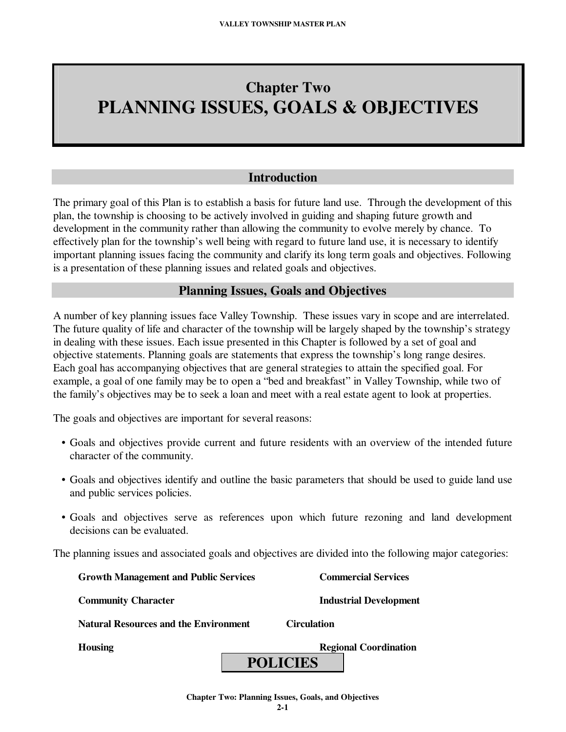# **Chapter Two PLANNING ISSUES, GOALS & OBJECTIVES**

### **Introduction**

The primary goal of this Plan is to establish a basis for future land use. Through the development of this plan, the township is choosing to be actively involved in guiding and shaping future growth and development in the community rather than allowing the community to evolve merely by chance. To effectively plan for the township's well being with regard to future land use, it is necessary to identify important planning issues facing the community and clarify its long term goals and objectives. Following is a presentation of these planning issues and related goals and objectives.

### **Planning Issues, Goals and Objectives**

A number of key planning issues face Valley Township. These issues vary in scope and are interrelated. The future quality of life and character of the township will be largely shaped by the township's strategy in dealing with these issues. Each issue presented in this Chapter is followed by a set of goal and objective statements. Planning goals are statements that express the township's long range desires. Each goal has accompanying objectives that are general strategies to attain the specified goal. For example, a goal of one family may be to open a "bed and breakfast" in Valley Township, while two of the family's objectives may be to seek a loan and meet with a real estate agent to look at properties.

The goals and objectives are important for several reasons:

- Goals and objectives provide current and future residents with an overview of the intended future character of the community.
- Goals and objectives identify and outline the basic parameters that should be used to guide land use and public services policies.
- Goals and objectives serve as references upon which future rezoning and land development decisions can be evaluated.

The planning issues and associated goals and objectives are divided into the following major categories:

**Growth Management and Public Services Commercial Services** 

**Community Character Community Character Industrial Development** 

**Natural Resources and the Environment Circulation** 

**Housing Regional Coordination** 

**Chapter Two: Planning Issues, Goals, and Objectives** 

**POLICIES**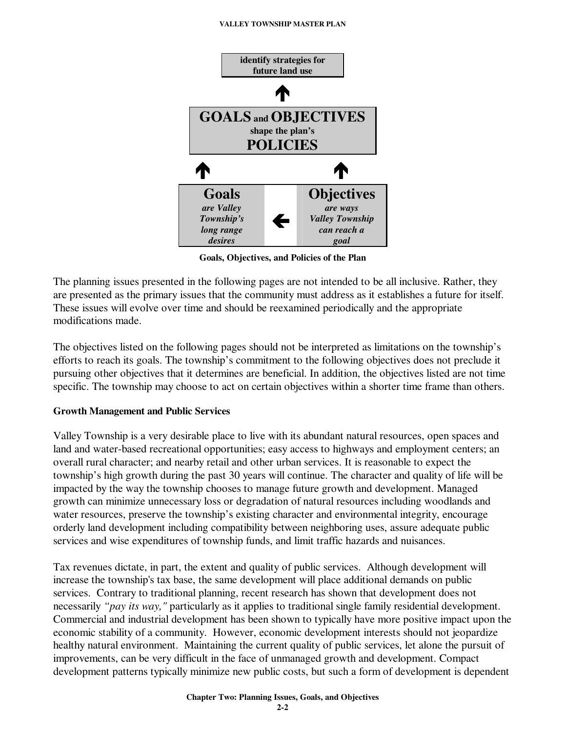

**Goals, Objectives, and Policies of the Plan** 

The planning issues presented in the following pages are not intended to be all inclusive. Rather, they are presented as the primary issues that the community must address as it establishes a future for itself. These issues will evolve over time and should be reexamined periodically and the appropriate modifications made.

The objectives listed on the following pages should not be interpreted as limitations on the township's efforts to reach its goals. The township's commitment to the following objectives does not preclude it pursuing other objectives that it determines are beneficial. In addition, the objectives listed are not time specific. The township may choose to act on certain objectives within a shorter time frame than others.

### **Growth Management and Public Services**

Valley Township is a very desirable place to live with its abundant natural resources, open spaces and land and water-based recreational opportunities; easy access to highways and employment centers; an overall rural character; and nearby retail and other urban services. It is reasonable to expect the township's high growth during the past 30 years will continue. The character and quality of life will be impacted by the way the township chooses to manage future growth and development. Managed growth can minimize unnecessary loss or degradation of natural resources including woodlands and water resources, preserve the township's existing character and environmental integrity, encourage orderly land development including compatibility between neighboring uses, assure adequate public services and wise expenditures of township funds, and limit traffic hazards and nuisances.

Tax revenues dictate, in part, the extent and quality of public services. Although development will increase the township's tax base, the same development will place additional demands on public services. Contrary to traditional planning, recent research has shown that development does not necessarily *"pay its way,"* particularly as it applies to traditional single family residential development. Commercial and industrial development has been shown to typically have more positive impact upon the economic stability of a community. However, economic development interests should not jeopardize healthy natural environment. Maintaining the current quality of public services, let alone the pursuit of improvements, can be very difficult in the face of unmanaged growth and development. Compact development patterns typically minimize new public costs, but such a form of development is dependent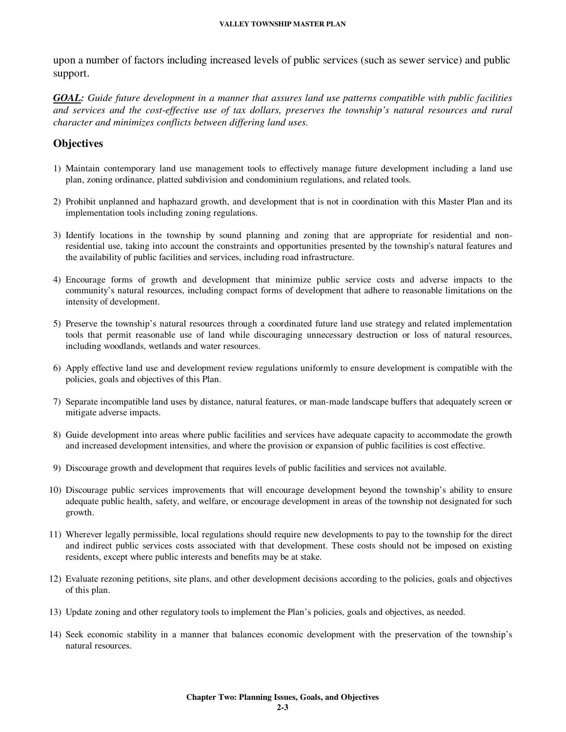upon a number of factors including increased levels of public services (such as sewer service) and public support.

*GOAL: Guide future development in a manner that assures land use patterns compatible with public facilities and services and the cost-effective use of tax dollars, preserves the township's natural resources and rural character and minimizes conflicts between differing land uses.* 

### **Objectives**

- 1) Maintain contemporary land use management tools to effectively manage future development including a land use plan, zoning ordinance, platted subdivision and condominium regulations, and related tools.
- 2) Prohibit unplanned and haphazard growth, and development that is not in coordination with this Master Plan and its implementation tools including zoning regulations.
- 3) Identify locations in the township by sound planning and zoning that are appropriate for residential and nonresidential use, taking into account the constraints and opportunities presented by the township's natural features and the availability of public facilities and services, including road infrastructure.
- 4) Encourage forms of growth and development that minimize public service costs and adverse impacts to the community's natural resources, including compact forms of development that adhere to reasonable limitations on the intensity of development.
- 5) Preserve the township's natural resources through a coordinated future land use strategy and related implementation tools that permit reasonable use of land while discouraging unnecessary destruction or loss of natural resources, including woodlands, wetlands and water resources.
- 6) Apply effective land use and development review regulations uniformly to ensure development is compatible with the policies, goals and objectives of this Plan.
- 7) Separate incompatible land uses by distance, natural features, or man-made landscape buffers that adequately screen or mitigate adverse impacts.
- 8) Guide development into areas where public facilities and services have adequate capacity to accommodate the growth and increased development intensities, and where the provision or expansion of public facilities is cost effective.
- 9) Discourage growth and development that requires levels of public facilities and services not available.
- 10) Discourage public services improvements that will encourage development beyond the township's ability to ensure adequate public health, safety, and welfare, or encourage development in areas of the township not designated for such growth.
- 11) Wherever legally permissible, local regulations should require new developments to pay to the township for the direct and indirect public services costs associated with that development. These costs should not be imposed on existing residents, except where public interests and benefits may be at stake.
- 12) Evaluate rezoning petitions, site plans, and other development decisions according to the policies, goals and objectives of this plan.
- 13) Update zoning and other regulatory tools to implement the Plan's policies, goals and objectives, as needed.
- 14) Seek economic stability in a manner that balances economic development with the preservation of the township's natural resources.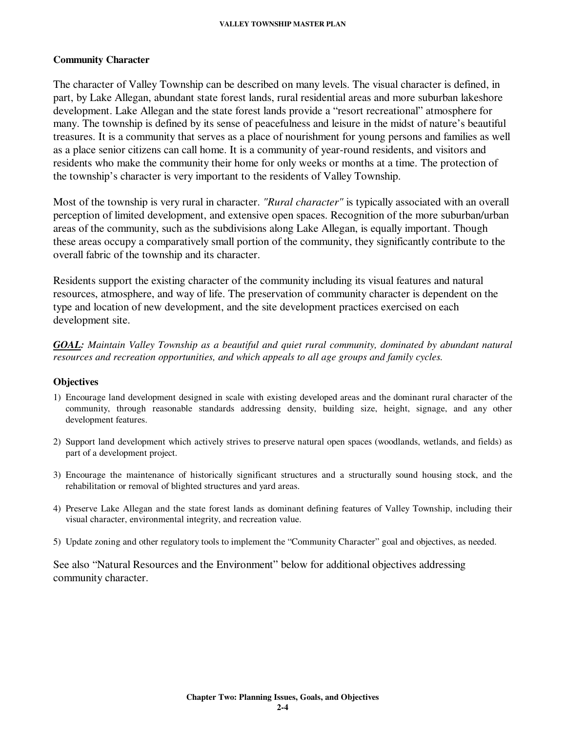### **Community Character**

The character of Valley Township can be described on many levels. The visual character is defined, in part, by Lake Allegan, abundant state forest lands, rural residential areas and more suburban lakeshore development. Lake Allegan and the state forest lands provide a "resort recreational" atmosphere for many. The township is defined by its sense of peacefulness and leisure in the midst of nature's beautiful treasures. It is a community that serves as a place of nourishment for young persons and families as well as a place senior citizens can call home. It is a community of year-round residents, and visitors and residents who make the community their home for only weeks or months at a time. The protection of the township's character is very important to the residents of Valley Township.

Most of the township is very rural in character. *"Rural character"* is typically associated with an overall perception of limited development, and extensive open spaces. Recognition of the more suburban/urban areas of the community, such as the subdivisions along Lake Allegan, is equally important. Though these areas occupy a comparatively small portion of the community, they significantly contribute to the overall fabric of the township and its character.

Residents support the existing character of the community including its visual features and natural resources, atmosphere, and way of life. The preservation of community character is dependent on the type and location of new development, and the site development practices exercised on each development site.

*GOAL: Maintain Valley Township as a beautiful and quiet rural community, dominated by abundant natural resources and recreation opportunities, and which appeals to all age groups and family cycles.* 

### **Objectives**

- 1) Encourage land development designed in scale with existing developed areas and the dominant rural character of the community, through reasonable standards addressing density, building size, height, signage, and any other development features.
- 2) Support land development which actively strives to preserve natural open spaces (woodlands, wetlands, and fields) as part of a development project.
- 3) Encourage the maintenance of historically significant structures and a structurally sound housing stock, and the rehabilitation or removal of blighted structures and yard areas.
- 4) Preserve Lake Allegan and the state forest lands as dominant defining features of Valley Township, including their visual character, environmental integrity, and recreation value.
- 5) Update zoning and other regulatory tools to implement the "Community Character" goal and objectives, as needed.

See also "Natural Resources and the Environment" below for additional objectives addressing community character.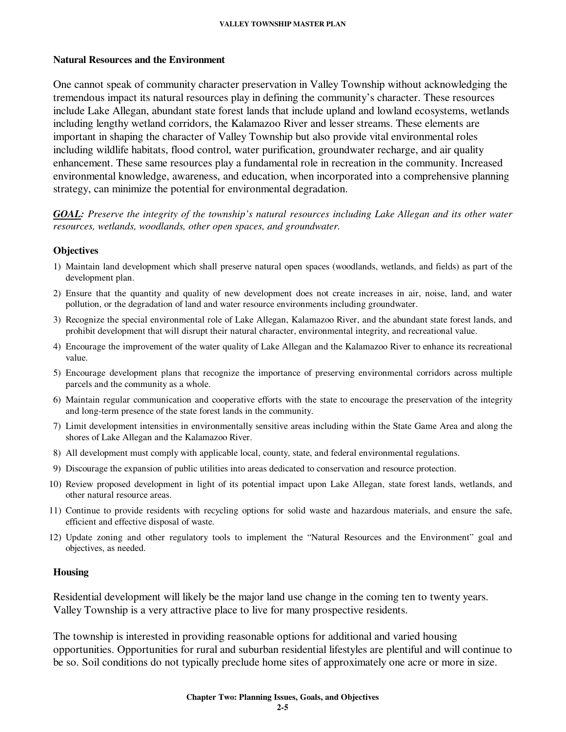### **Natural Resources and the Environment**

One cannot speak of community character preservation in Valley Township without acknowledging the tremendous impact its natural resources play in defining the community's character. These resources include Lake Allegan, abundant state forest lands that include upland and lowland ecosystems, wetlands including lengthy wetland corridors, the Kalamazoo River and lesser streams. These elements are important in shaping the character of Valley Township but also provide vital environmental roles including wildlife habitats, flood control, water purification, groundwater recharge, and air quality enhancement. These same resources play a fundamental role in recreation in the community. Increased environmental knowledge, awareness, and education, when incorporated into a comprehensive planning strategy, can minimize the potential for environmental degradation.

*GOAL: Preserve the integrity of the township's natural resources including Lake Allegan and its other water resources, wetlands, woodlands, other open spaces, and groundwater.* 

### **Objectives**

- 1) Maintain land development which shall preserve natural open spaces (woodlands, wetlands, and fields) as part of the development plan.
- 2) Ensure that the quantity and quality of new development does not create increases in air, noise, land, and water pollution, or the degradation of land and water resource environments including groundwater.
- 3) Recognize the special environmental role of Lake Allegan, Kalamazoo River, and the abundant state forest lands, and prohibit development that will disrupt their natural character, environmental integrity, and recreational value.
- 4) Encourage the improvement of the water quality of Lake Allegan and the Kalamazoo River to enhance its recreational value.
- 5) Encourage development plans that recognize the importance of preserving environmental corridors across multiple parcels and the community as a whole.
- 6) Maintain regular communication and cooperative efforts with the state to encourage the preservation of the integrity and long-term presence of the state forest lands in the community.
- 7) Limit development intensities in environmentally sensitive areas including within the State Game Area and along the shores of Lake Allegan and the Kalamazoo River.
- 8) All development must comply with applicable local, county, state, and federal environmental regulations.
- 9) Discourage the expansion of public utilities into areas dedicated to conservation and resource protection.
- 10) Review proposed development in light of its potential impact upon Lake Allegan, state forest lands, wetlands, and other natural resource areas.
- 11) Continue to provide residents with recycling options for solid waste and hazardous materials, and ensure the safe, efficient and effective disposal of waste.
- 12) Update zoning and other regulatory tools to implement the "Natural Resources and the Environment" goal and objectives, as needed.

### **Housing**

Residential development will likely be the major land use change in the coming ten to twenty years. Valley Township is a very attractive place to live for many prospective residents.

The township is interested in providing reasonable options for additional and varied housing opportunities. Opportunities for rural and suburban residential lifestyles are plentiful and will continue to be so. Soil conditions do not typically preclude home sites of approximately one acre or more in size.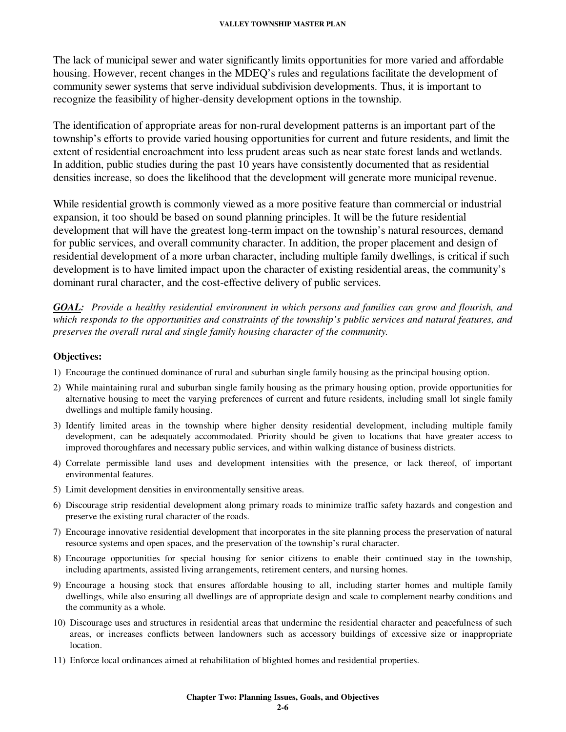The lack of municipal sewer and water significantly limits opportunities for more varied and affordable housing. However, recent changes in the MDEQ's rules and regulations facilitate the development of community sewer systems that serve individual subdivision developments. Thus, it is important to recognize the feasibility of higher-density development options in the township.

The identification of appropriate areas for non-rural development patterns is an important part of the township's efforts to provide varied housing opportunities for current and future residents, and limit the extent of residential encroachment into less prudent areas such as near state forest lands and wetlands. In addition, public studies during the past 10 years have consistently documented that as residential densities increase, so does the likelihood that the development will generate more municipal revenue.

While residential growth is commonly viewed as a more positive feature than commercial or industrial expansion, it too should be based on sound planning principles. It will be the future residential development that will have the greatest long-term impact on the township's natural resources, demand for public services, and overall community character. In addition, the proper placement and design of residential development of a more urban character, including multiple family dwellings, is critical if such development is to have limited impact upon the character of existing residential areas, the community's dominant rural character, and the cost-effective delivery of public services.

*GOAL: Provide a healthy residential environment in which persons and families can grow and flourish, and*  which responds to the opportunities and constraints of the township's public services and natural features, and *preserves the overall rural and single family housing character of the community.* 

### **Objectives:**

- 1) Encourage the continued dominance of rural and suburban single family housing as the principal housing option.
- 2) While maintaining rural and suburban single family housing as the primary housing option, provide opportunities for alternative housing to meet the varying preferences of current and future residents, including small lot single family dwellings and multiple family housing.
- 3) Identify limited areas in the township where higher density residential development, including multiple family development, can be adequately accommodated. Priority should be given to locations that have greater access to improved thoroughfares and necessary public services, and within walking distance of business districts.
- 4) Correlate permissible land uses and development intensities with the presence, or lack thereof, of important environmental features.
- 5) Limit development densities in environmentally sensitive areas.
- 6) Discourage strip residential development along primary roads to minimize traffic safety hazards and congestion and preserve the existing rural character of the roads.
- 7) Encourage innovative residential development that incorporates in the site planning process the preservation of natural resource systems and open spaces, and the preservation of the township's rural character.
- 8) Encourage opportunities for special housing for senior citizens to enable their continued stay in the township, including apartments, assisted living arrangements, retirement centers, and nursing homes.
- 9) Encourage a housing stock that ensures affordable housing to all, including starter homes and multiple family dwellings, while also ensuring all dwellings are of appropriate design and scale to complement nearby conditions and the community as a whole.
- 10) Discourage uses and structures in residential areas that undermine the residential character and peacefulness of such areas, or increases conflicts between landowners such as accessory buildings of excessive size or inappropriate location.
- 11) Enforce local ordinances aimed at rehabilitation of blighted homes and residential properties.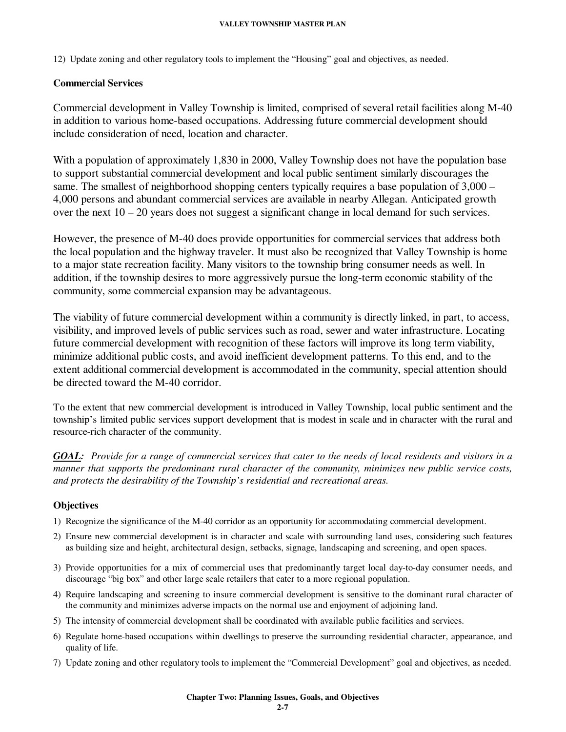12) Update zoning and other regulatory tools to implement the "Housing" goal and objectives, as needed.

### **Commercial Services**

Commercial development in Valley Township is limited, comprised of several retail facilities along M-40 in addition to various home-based occupations. Addressing future commercial development should include consideration of need, location and character.

With a population of approximately 1,830 in 2000, Valley Township does not have the population base to support substantial commercial development and local public sentiment similarly discourages the same. The smallest of neighborhood shopping centers typically requires a base population of 3,000 – 4,000 persons and abundant commercial services are available in nearby Allegan. Anticipated growth over the next 10 – 20 years does not suggest a significant change in local demand for such services.

However, the presence of M-40 does provide opportunities for commercial services that address both the local population and the highway traveler. It must also be recognized that Valley Township is home to a major state recreation facility. Many visitors to the township bring consumer needs as well. In addition, if the township desires to more aggressively pursue the long-term economic stability of the community, some commercial expansion may be advantageous.

The viability of future commercial development within a community is directly linked, in part, to access, visibility, and improved levels of public services such as road, sewer and water infrastructure. Locating future commercial development with recognition of these factors will improve its long term viability, minimize additional public costs, and avoid inefficient development patterns. To this end, and to the extent additional commercial development is accommodated in the community, special attention should be directed toward the M-40 corridor.

To the extent that new commercial development is introduced in Valley Township, local public sentiment and the township's limited public services support development that is modest in scale and in character with the rural and resource-rich character of the community.

*GOAL: Provide for a range of commercial services that cater to the needs of local residents and visitors in a manner that supports the predominant rural character of the community, minimizes new public service costs, and protects the desirability of the Township's residential and recreational areas.* 

### **Objectives**

- 1) Recognize the significance of the M-40 corridor as an opportunity for accommodating commercial development.
- 2) Ensure new commercial development is in character and scale with surrounding land uses, considering such features as building size and height, architectural design, setbacks, signage, landscaping and screening, and open spaces.
- 3) Provide opportunities for a mix of commercial uses that predominantly target local day-to-day consumer needs, and discourage "big box" and other large scale retailers that cater to a more regional population.
- 4) Require landscaping and screening to insure commercial development is sensitive to the dominant rural character of the community and minimizes adverse impacts on the normal use and enjoyment of adjoining land.
- 5) The intensity of commercial development shall be coordinated with available public facilities and services.
- 6) Regulate home-based occupations within dwellings to preserve the surrounding residential character, appearance, and quality of life.
- 7) Update zoning and other regulatory tools to implement the "Commercial Development" goal and objectives, as needed.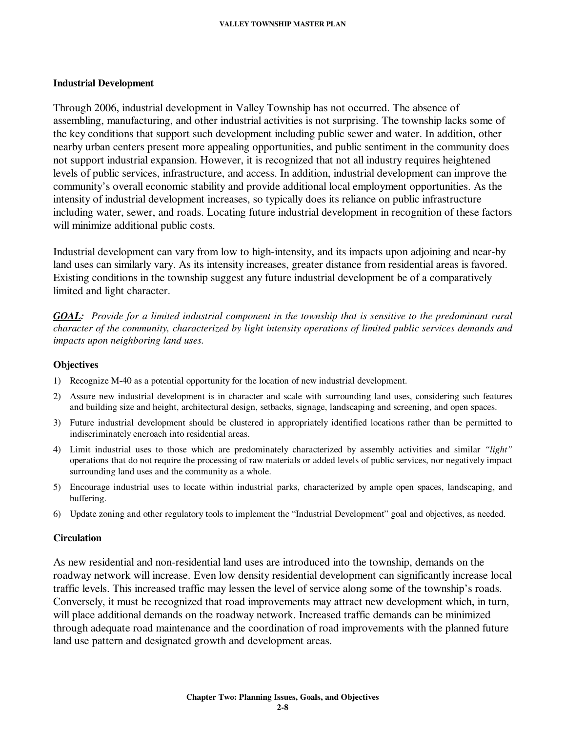### **Industrial Development**

Through 2006, industrial development in Valley Township has not occurred. The absence of assembling, manufacturing, and other industrial activities is not surprising. The township lacks some of the key conditions that support such development including public sewer and water. In addition, other nearby urban centers present more appealing opportunities, and public sentiment in the community does not support industrial expansion. However, it is recognized that not all industry requires heightened levels of public services, infrastructure, and access. In addition, industrial development can improve the community's overall economic stability and provide additional local employment opportunities. As the intensity of industrial development increases, so typically does its reliance on public infrastructure including water, sewer, and roads. Locating future industrial development in recognition of these factors will minimize additional public costs.

Industrial development can vary from low to high-intensity, and its impacts upon adjoining and near-by land uses can similarly vary. As its intensity increases, greater distance from residential areas is favored. Existing conditions in the township suggest any future industrial development be of a comparatively limited and light character.

*GOAL: Provide for a limited industrial component in the township that is sensitive to the predominant rural character of the community, characterized by light intensity operations of limited public services demands and impacts upon neighboring land uses.* 

### **Objectives**

- 1) Recognize M-40 as a potential opportunity for the location of new industrial development.
- 2) Assure new industrial development is in character and scale with surrounding land uses, considering such features and building size and height, architectural design, setbacks, signage, landscaping and screening, and open spaces.
- 3) Future industrial development should be clustered in appropriately identified locations rather than be permitted to indiscriminately encroach into residential areas.
- 4) Limit industrial uses to those which are predominately characterized by assembly activities and similar *"light"* operations that do not require the processing of raw materials or added levels of public services, nor negatively impact surrounding land uses and the community as a whole.
- 5) Encourage industrial uses to locate within industrial parks, characterized by ample open spaces, landscaping, and buffering.
- 6) Update zoning and other regulatory tools to implement the "Industrial Development" goal and objectives, as needed.

### **Circulation**

As new residential and non-residential land uses are introduced into the township, demands on the roadway network will increase. Even low density residential development can significantly increase local traffic levels. This increased traffic may lessen the level of service along some of the township's roads. Conversely, it must be recognized that road improvements may attract new development which, in turn, will place additional demands on the roadway network. Increased traffic demands can be minimized through adequate road maintenance and the coordination of road improvements with the planned future land use pattern and designated growth and development areas.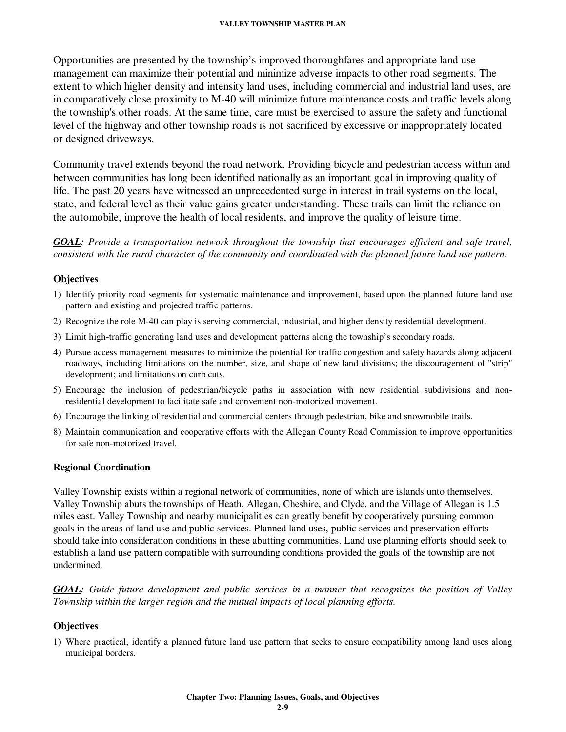Opportunities are presented by the township's improved thoroughfares and appropriate land use management can maximize their potential and minimize adverse impacts to other road segments. The extent to which higher density and intensity land uses, including commercial and industrial land uses, are in comparatively close proximity to M-40 will minimize future maintenance costs and traffic levels along the township's other roads. At the same time, care must be exercised to assure the safety and functional level of the highway and other township roads is not sacrificed by excessive or inappropriately located or designed driveways.

Community travel extends beyond the road network. Providing bicycle and pedestrian access within and between communities has long been identified nationally as an important goal in improving quality of life. The past 20 years have witnessed an unprecedented surge in interest in trail systems on the local, state, and federal level as their value gains greater understanding. These trails can limit the reliance on the automobile, improve the health of local residents, and improve the quality of leisure time.

*GOAL: Provide a transportation network throughout the township that encourages efficient and safe travel, consistent with the rural character of the community and coordinated with the planned future land use pattern.* 

### **Objectives**

- 1) Identify priority road segments for systematic maintenance and improvement, based upon the planned future land use pattern and existing and projected traffic patterns.
- 2) Recognize the role M-40 can play is serving commercial, industrial, and higher density residential development.
- 3) Limit high-traffic generating land uses and development patterns along the township's secondary roads.
- 4) Pursue access management measures to minimize the potential for traffic congestion and safety hazards along adjacent roadways, including limitations on the number, size, and shape of new land divisions; the discouragement of "strip" development; and limitations on curb cuts.
- 5) Encourage the inclusion of pedestrian/bicycle paths in association with new residential subdivisions and nonresidential development to facilitate safe and convenient non-motorized movement.
- 6) Encourage the linking of residential and commercial centers through pedestrian, bike and snowmobile trails.
- 8) Maintain communication and cooperative efforts with the Allegan County Road Commission to improve opportunities for safe non-motorized travel.

### **Regional Coordination**

Valley Township exists within a regional network of communities, none of which are islands unto themselves. Valley Township abuts the townships of Heath, Allegan, Cheshire, and Clyde, and the Village of Allegan is 1.5 miles east. Valley Township and nearby municipalities can greatly benefit by cooperatively pursuing common goals in the areas of land use and public services. Planned land uses, public services and preservation efforts should take into consideration conditions in these abutting communities. Land use planning efforts should seek to establish a land use pattern compatible with surrounding conditions provided the goals of the township are not undermined.

*GOAL: Guide future development and public services in a manner that recognizes the position of Valley Township within the larger region and the mutual impacts of local planning efforts.*

### **Objectives**

1) Where practical, identify a planned future land use pattern that seeks to ensure compatibility among land uses along municipal borders.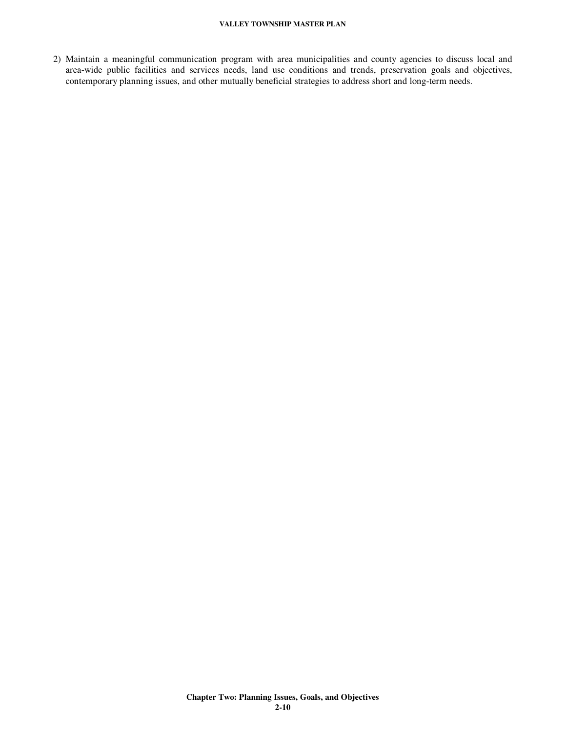2) Maintain a meaningful communication program with area municipalities and county agencies to discuss local and area-wide public facilities and services needs, land use conditions and trends, preservation goals and objectives, contemporary planning issues, and other mutually beneficial strategies to address short and long-term needs.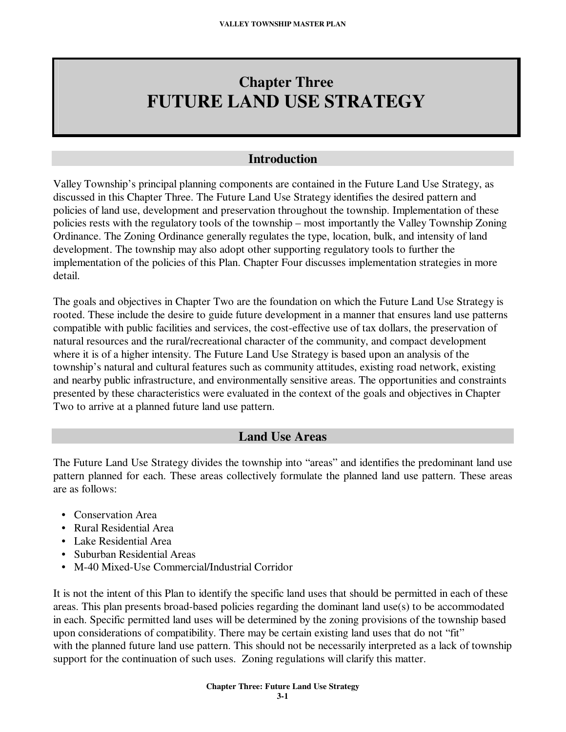# **Chapter Three FUTURE LAND USE STRATEGY**

### **Introduction**

Valley Township's principal planning components are contained in the Future Land Use Strategy, as discussed in this Chapter Three. The Future Land Use Strategy identifies the desired pattern and policies of land use, development and preservation throughout the township. Implementation of these policies rests with the regulatory tools of the township – most importantly the Valley Township Zoning Ordinance. The Zoning Ordinance generally regulates the type, location, bulk, and intensity of land development. The township may also adopt other supporting regulatory tools to further the implementation of the policies of this Plan. Chapter Four discusses implementation strategies in more detail.

The goals and objectives in Chapter Two are the foundation on which the Future Land Use Strategy is rooted. These include the desire to guide future development in a manner that ensures land use patterns compatible with public facilities and services, the cost-effective use of tax dollars, the preservation of natural resources and the rural/recreational character of the community, and compact development where it is of a higher intensity. The Future Land Use Strategy is based upon an analysis of the township's natural and cultural features such as community attitudes, existing road network, existing and nearby public infrastructure, and environmentally sensitive areas. The opportunities and constraints presented by these characteristics were evaluated in the context of the goals and objectives in Chapter Two to arrive at a planned future land use pattern.

### **Land Use Areas**

The Future Land Use Strategy divides the township into "areas" and identifies the predominant land use pattern planned for each. These areas collectively formulate the planned land use pattern. These areas are as follows:

- Conservation Area
- Rural Residential Area
- Lake Residential Area
- Suburban Residential Areas
- M-40 Mixed-Use Commercial/Industrial Corridor

It is not the intent of this Plan to identify the specific land uses that should be permitted in each of these areas. This plan presents broad-based policies regarding the dominant land use(s) to be accommodated in each. Specific permitted land uses will be determined by the zoning provisions of the township based upon considerations of compatibility. There may be certain existing land uses that do not "fit" with the planned future land use pattern. This should not be necessarily interpreted as a lack of township support for the continuation of such uses. Zoning regulations will clarify this matter.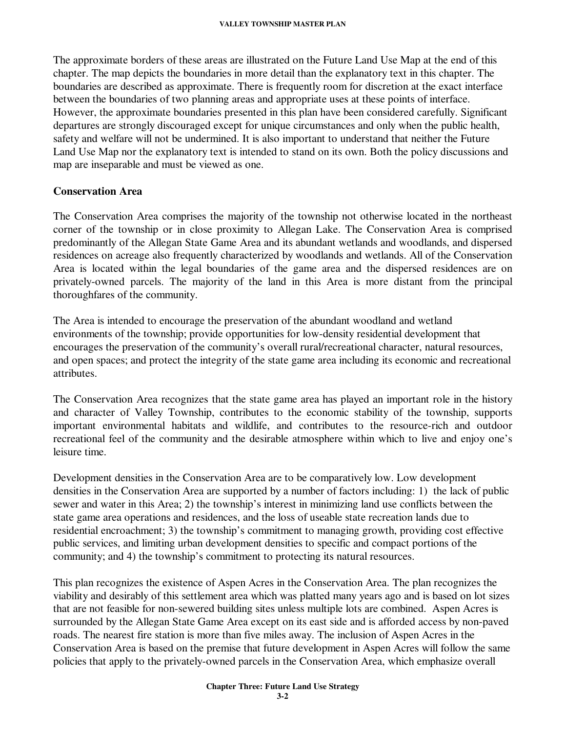The approximate borders of these areas are illustrated on the Future Land Use Map at the end of this chapter. The map depicts the boundaries in more detail than the explanatory text in this chapter. The boundaries are described as approximate. There is frequently room for discretion at the exact interface between the boundaries of two planning areas and appropriate uses at these points of interface. However, the approximate boundaries presented in this plan have been considered carefully. Significant departures are strongly discouraged except for unique circumstances and only when the public health, safety and welfare will not be undermined. It is also important to understand that neither the Future Land Use Map nor the explanatory text is intended to stand on its own. Both the policy discussions and map are inseparable and must be viewed as one.

### **Conservation Area**

The Conservation Area comprises the majority of the township not otherwise located in the northeast corner of the township or in close proximity to Allegan Lake. The Conservation Area is comprised predominantly of the Allegan State Game Area and its abundant wetlands and woodlands, and dispersed residences on acreage also frequently characterized by woodlands and wetlands. All of the Conservation Area is located within the legal boundaries of the game area and the dispersed residences are on privately-owned parcels. The majority of the land in this Area is more distant from the principal thoroughfares of the community.

The Area is intended to encourage the preservation of the abundant woodland and wetland environments of the township; provide opportunities for low-density residential development that encourages the preservation of the community's overall rural/recreational character, natural resources, and open spaces; and protect the integrity of the state game area including its economic and recreational attributes.

The Conservation Area recognizes that the state game area has played an important role in the history and character of Valley Township, contributes to the economic stability of the township, supports important environmental habitats and wildlife, and contributes to the resource-rich and outdoor recreational feel of the community and the desirable atmosphere within which to live and enjoy one's leisure time.

Development densities in the Conservation Area are to be comparatively low. Low development densities in the Conservation Area are supported by a number of factors including: 1) the lack of public sewer and water in this Area; 2) the township's interest in minimizing land use conflicts between the state game area operations and residences, and the loss of useable state recreation lands due to residential encroachment; 3) the township's commitment to managing growth, providing cost effective public services, and limiting urban development densities to specific and compact portions of the community; and 4) the township's commitment to protecting its natural resources.

This plan recognizes the existence of Aspen Acres in the Conservation Area. The plan recognizes the viability and desirably of this settlement area which was platted many years ago and is based on lot sizes that are not feasible for non-sewered building sites unless multiple lots are combined. Aspen Acres is surrounded by the Allegan State Game Area except on its east side and is afforded access by non-paved roads. The nearest fire station is more than five miles away. The inclusion of Aspen Acres in the Conservation Area is based on the premise that future development in Aspen Acres will follow the same policies that apply to the privately-owned parcels in the Conservation Area, which emphasize overall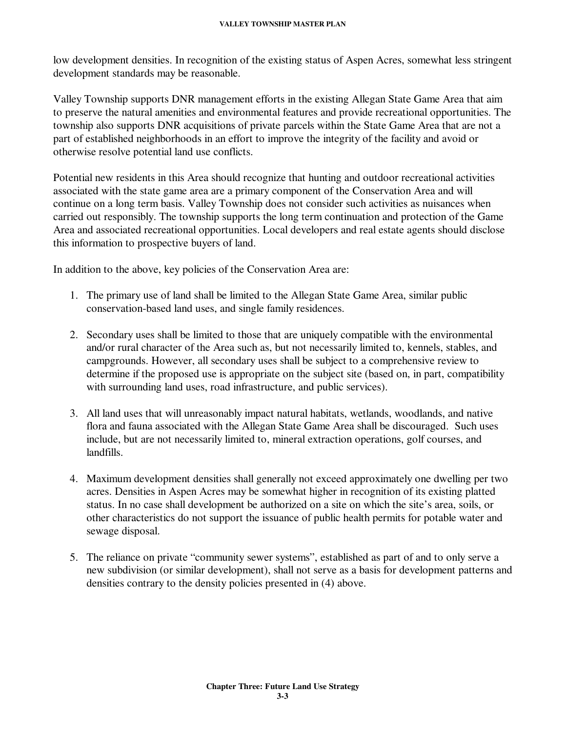low development densities. In recognition of the existing status of Aspen Acres, somewhat less stringent development standards may be reasonable.

Valley Township supports DNR management efforts in the existing Allegan State Game Area that aim to preserve the natural amenities and environmental features and provide recreational opportunities. The township also supports DNR acquisitions of private parcels within the State Game Area that are not a part of established neighborhoods in an effort to improve the integrity of the facility and avoid or otherwise resolve potential land use conflicts.

Potential new residents in this Area should recognize that hunting and outdoor recreational activities associated with the state game area are a primary component of the Conservation Area and will continue on a long term basis. Valley Township does not consider such activities as nuisances when carried out responsibly. The township supports the long term continuation and protection of the Game Area and associated recreational opportunities. Local developers and real estate agents should disclose this information to prospective buyers of land.

In addition to the above, key policies of the Conservation Area are:

- 1. The primary use of land shall be limited to the Allegan State Game Area, similar public conservation-based land uses, and single family residences.
- 2. Secondary uses shall be limited to those that are uniquely compatible with the environmental and/or rural character of the Area such as, but not necessarily limited to, kennels, stables, and campgrounds. However, all secondary uses shall be subject to a comprehensive review to determine if the proposed use is appropriate on the subject site (based on, in part, compatibility with surrounding land uses, road infrastructure, and public services).
- 3. All land uses that will unreasonably impact natural habitats, wetlands, woodlands, and native flora and fauna associated with the Allegan State Game Area shall be discouraged. Such uses include, but are not necessarily limited to, mineral extraction operations, golf courses, and landfills.
- 4. Maximum development densities shall generally not exceed approximately one dwelling per two acres. Densities in Aspen Acres may be somewhat higher in recognition of its existing platted status. In no case shall development be authorized on a site on which the site's area, soils, or other characteristics do not support the issuance of public health permits for potable water and sewage disposal.
- 5. The reliance on private "community sewer systems", established as part of and to only serve a new subdivision (or similar development), shall not serve as a basis for development patterns and densities contrary to the density policies presented in (4) above.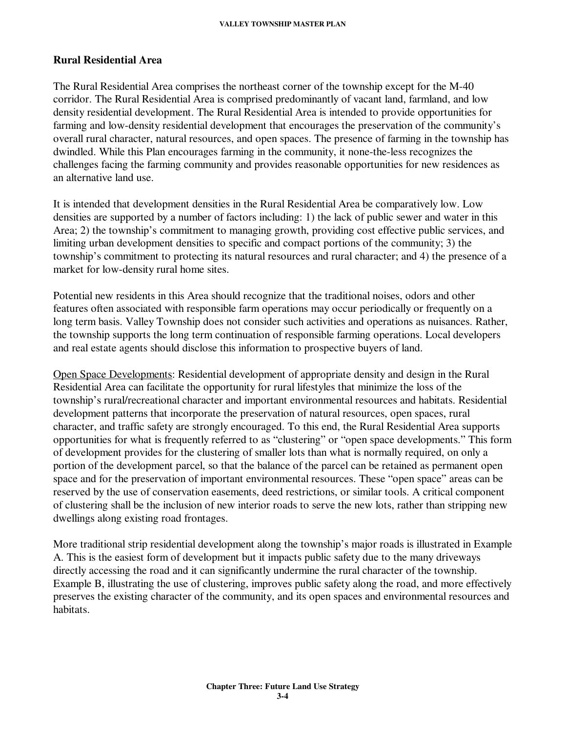### **Rural Residential Area**

The Rural Residential Area comprises the northeast corner of the township except for the M-40 corridor. The Rural Residential Area is comprised predominantly of vacant land, farmland, and low density residential development. The Rural Residential Area is intended to provide opportunities for farming and low-density residential development that encourages the preservation of the community's overall rural character, natural resources, and open spaces. The presence of farming in the township has dwindled. While this Plan encourages farming in the community, it none-the-less recognizes the challenges facing the farming community and provides reasonable opportunities for new residences as an alternative land use.

It is intended that development densities in the Rural Residential Area be comparatively low. Low densities are supported by a number of factors including: 1) the lack of public sewer and water in this Area; 2) the township's commitment to managing growth, providing cost effective public services, and limiting urban development densities to specific and compact portions of the community; 3) the township's commitment to protecting its natural resources and rural character; and 4) the presence of a market for low-density rural home sites.

Potential new residents in this Area should recognize that the traditional noises, odors and other features often associated with responsible farm operations may occur periodically or frequently on a long term basis. Valley Township does not consider such activities and operations as nuisances. Rather, the township supports the long term continuation of responsible farming operations. Local developers and real estate agents should disclose this information to prospective buyers of land.

Open Space Developments: Residential development of appropriate density and design in the Rural Residential Area can facilitate the opportunity for rural lifestyles that minimize the loss of the township's rural/recreational character and important environmental resources and habitats. Residential development patterns that incorporate the preservation of natural resources, open spaces, rural character, and traffic safety are strongly encouraged. To this end, the Rural Residential Area supports opportunities for what is frequently referred to as "clustering" or "open space developments." This form of development provides for the clustering of smaller lots than what is normally required, on only a portion of the development parcel, so that the balance of the parcel can be retained as permanent open space and for the preservation of important environmental resources. These "open space" areas can be reserved by the use of conservation easements, deed restrictions, or similar tools. A critical component of clustering shall be the inclusion of new interior roads to serve the new lots, rather than stripping new dwellings along existing road frontages.

More traditional strip residential development along the township's major roads is illustrated in Example A. This is the easiest form of development but it impacts public safety due to the many driveways directly accessing the road and it can significantly undermine the rural character of the township. Example B, illustrating the use of clustering, improves public safety along the road, and more effectively preserves the existing character of the community, and its open spaces and environmental resources and habitats.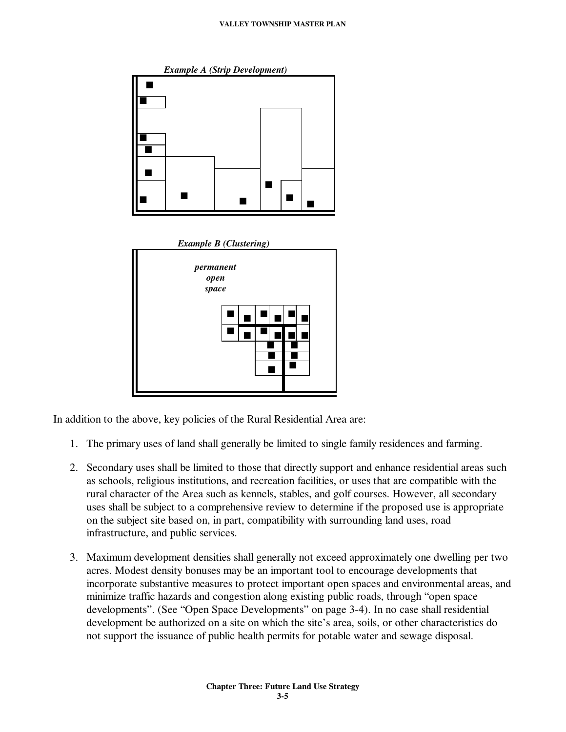

In addition to the above, key policies of the Rural Residential Area are:

- 1. The primary uses of land shall generally be limited to single family residences and farming.
- 2. Secondary uses shall be limited to those that directly support and enhance residential areas such as schools, religious institutions, and recreation facilities, or uses that are compatible with the rural character of the Area such as kennels, stables, and golf courses. However, all secondary uses shall be subject to a comprehensive review to determine if the proposed use is appropriate on the subject site based on, in part, compatibility with surrounding land uses, road infrastructure, and public services.
- 3. Maximum development densities shall generally not exceed approximately one dwelling per two acres. Modest density bonuses may be an important tool to encourage developments that incorporate substantive measures to protect important open spaces and environmental areas, and minimize traffic hazards and congestion along existing public roads, through "open space developments". (See "Open Space Developments" on page 3-4). In no case shall residential development be authorized on a site on which the site's area, soils, or other characteristics do not support the issuance of public health permits for potable water and sewage disposal.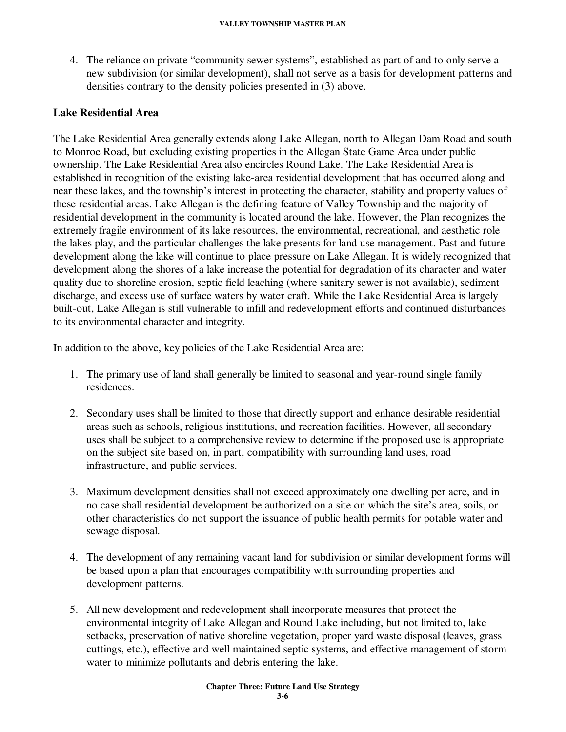4. The reliance on private "community sewer systems", established as part of and to only serve a new subdivision (or similar development), shall not serve as a basis for development patterns and densities contrary to the density policies presented in (3) above.

### **Lake Residential Area**

The Lake Residential Area generally extends along Lake Allegan, north to Allegan Dam Road and south to Monroe Road, but excluding existing properties in the Allegan State Game Area under public ownership. The Lake Residential Area also encircles Round Lake. The Lake Residential Area is established in recognition of the existing lake-area residential development that has occurred along and near these lakes, and the township's interest in protecting the character, stability and property values of these residential areas. Lake Allegan is the defining feature of Valley Township and the majority of residential development in the community is located around the lake. However, the Plan recognizes the extremely fragile environment of its lake resources, the environmental, recreational, and aesthetic role the lakes play, and the particular challenges the lake presents for land use management. Past and future development along the lake will continue to place pressure on Lake Allegan. It is widely recognized that development along the shores of a lake increase the potential for degradation of its character and water quality due to shoreline erosion, septic field leaching (where sanitary sewer is not available), sediment discharge, and excess use of surface waters by water craft. While the Lake Residential Area is largely built-out, Lake Allegan is still vulnerable to infill and redevelopment efforts and continued disturbances to its environmental character and integrity.

In addition to the above, key policies of the Lake Residential Area are:

- 1. The primary use of land shall generally be limited to seasonal and year-round single family residences.
- 2. Secondary uses shall be limited to those that directly support and enhance desirable residential areas such as schools, religious institutions, and recreation facilities. However, all secondary uses shall be subject to a comprehensive review to determine if the proposed use is appropriate on the subject site based on, in part, compatibility with surrounding land uses, road infrastructure, and public services.
- 3. Maximum development densities shall not exceed approximately one dwelling per acre, and in no case shall residential development be authorized on a site on which the site's area, soils, or other characteristics do not support the issuance of public health permits for potable water and sewage disposal.
- 4. The development of any remaining vacant land for subdivision or similar development forms will be based upon a plan that encourages compatibility with surrounding properties and development patterns.
- 5. All new development and redevelopment shall incorporate measures that protect the environmental integrity of Lake Allegan and Round Lake including, but not limited to, lake setbacks, preservation of native shoreline vegetation, proper yard waste disposal (leaves, grass cuttings, etc.), effective and well maintained septic systems, and effective management of storm water to minimize pollutants and debris entering the lake.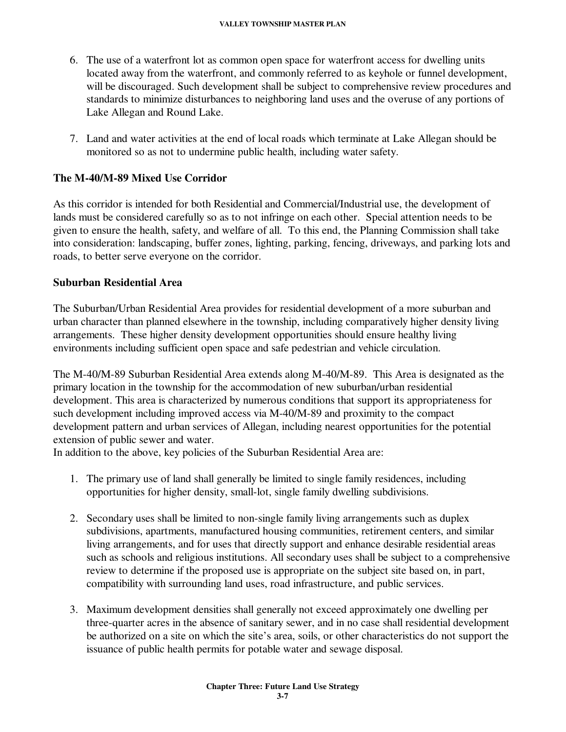- 6. The use of a waterfront lot as common open space for waterfront access for dwelling units located away from the waterfront, and commonly referred to as keyhole or funnel development, will be discouraged. Such development shall be subject to comprehensive review procedures and standards to minimize disturbances to neighboring land uses and the overuse of any portions of Lake Allegan and Round Lake.
- 7. Land and water activities at the end of local roads which terminate at Lake Allegan should be monitored so as not to undermine public health, including water safety.

### **The M-40/M-89 Mixed Use Corridor**

As this corridor is intended for both Residential and Commercial/Industrial use, the development of lands must be considered carefully so as to not infringe on each other. Special attention needs to be given to ensure the health, safety, and welfare of all. To this end, the Planning Commission shall take into consideration: landscaping, buffer zones, lighting, parking, fencing, driveways, and parking lots and roads, to better serve everyone on the corridor.

### **Suburban Residential Area**

The Suburban/Urban Residential Area provides for residential development of a more suburban and urban character than planned elsewhere in the township, including comparatively higher density living arrangements. These higher density development opportunities should ensure healthy living environments including sufficient open space and safe pedestrian and vehicle circulation.

The M-40/M-89 Suburban Residential Area extends along M-40/M-89. This Area is designated as the primary location in the township for the accommodation of new suburban/urban residential development. This area is characterized by numerous conditions that support its appropriateness for such development including improved access via M-40/M-89 and proximity to the compact development pattern and urban services of Allegan, including nearest opportunities for the potential extension of public sewer and water.

In addition to the above, key policies of the Suburban Residential Area are:

- 1. The primary use of land shall generally be limited to single family residences, including opportunities for higher density, small-lot, single family dwelling subdivisions.
- 2. Secondary uses shall be limited to non-single family living arrangements such as duplex subdivisions, apartments, manufactured housing communities, retirement centers, and similar living arrangements, and for uses that directly support and enhance desirable residential areas such as schools and religious institutions. All secondary uses shall be subject to a comprehensive review to determine if the proposed use is appropriate on the subject site based on, in part, compatibility with surrounding land uses, road infrastructure, and public services.
- 3. Maximum development densities shall generally not exceed approximately one dwelling per three-quarter acres in the absence of sanitary sewer, and in no case shall residential development be authorized on a site on which the site's area, soils, or other characteristics do not support the issuance of public health permits for potable water and sewage disposal.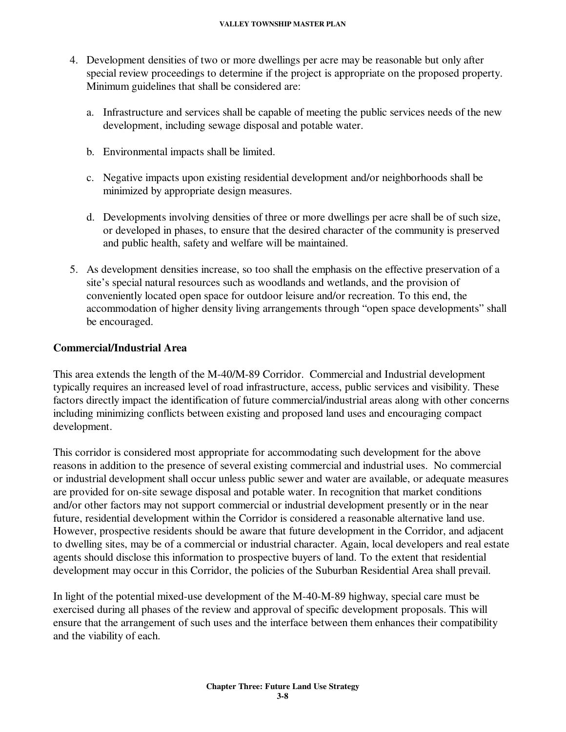- 4. Development densities of two or more dwellings per acre may be reasonable but only after special review proceedings to determine if the project is appropriate on the proposed property. Minimum guidelines that shall be considered are:
	- a. Infrastructure and services shall be capable of meeting the public services needs of the new development, including sewage disposal and potable water.
	- b. Environmental impacts shall be limited.
	- c. Negative impacts upon existing residential development and/or neighborhoods shall be minimized by appropriate design measures.
	- d. Developments involving densities of three or more dwellings per acre shall be of such size, or developed in phases, to ensure that the desired character of the community is preserved and public health, safety and welfare will be maintained.
- 5. As development densities increase, so too shall the emphasis on the effective preservation of a site's special natural resources such as woodlands and wetlands, and the provision of conveniently located open space for outdoor leisure and/or recreation. To this end, the accommodation of higher density living arrangements through "open space developments" shall be encouraged.

### **Commercial/Industrial Area**

This area extends the length of the M-40/M-89 Corridor. Commercial and Industrial development typically requires an increased level of road infrastructure, access, public services and visibility. These factors directly impact the identification of future commercial/industrial areas along with other concerns including minimizing conflicts between existing and proposed land uses and encouraging compact development.

This corridor is considered most appropriate for accommodating such development for the above reasons in addition to the presence of several existing commercial and industrial uses. No commercial or industrial development shall occur unless public sewer and water are available, or adequate measures are provided for on-site sewage disposal and potable water. In recognition that market conditions and/or other factors may not support commercial or industrial development presently or in the near future, residential development within the Corridor is considered a reasonable alternative land use. However, prospective residents should be aware that future development in the Corridor, and adjacent to dwelling sites, may be of a commercial or industrial character. Again, local developers and real estate agents should disclose this information to prospective buyers of land. To the extent that residential development may occur in this Corridor, the policies of the Suburban Residential Area shall prevail.

In light of the potential mixed-use development of the M-40-M-89 highway, special care must be exercised during all phases of the review and approval of specific development proposals. This will ensure that the arrangement of such uses and the interface between them enhances their compatibility and the viability of each.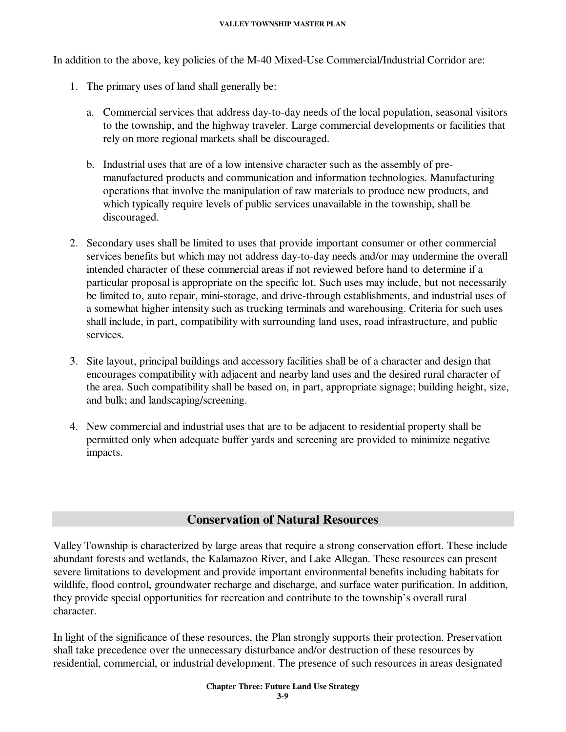In addition to the above, key policies of the M-40 Mixed-Use Commercial/Industrial Corridor are:

- 1. The primary uses of land shall generally be:
	- a. Commercial services that address day-to-day needs of the local population, seasonal visitors to the township, and the highway traveler. Large commercial developments or facilities that rely on more regional markets shall be discouraged.
	- b. Industrial uses that are of a low intensive character such as the assembly of premanufactured products and communication and information technologies. Manufacturing operations that involve the manipulation of raw materials to produce new products, and which typically require levels of public services unavailable in the township, shall be discouraged.
- 2. Secondary uses shall be limited to uses that provide important consumer or other commercial services benefits but which may not address day-to-day needs and/or may undermine the overall intended character of these commercial areas if not reviewed before hand to determine if a particular proposal is appropriate on the specific lot. Such uses may include, but not necessarily be limited to, auto repair, mini-storage, and drive-through establishments, and industrial uses of a somewhat higher intensity such as trucking terminals and warehousing. Criteria for such uses shall include, in part, compatibility with surrounding land uses, road infrastructure, and public services.
- 3. Site layout, principal buildings and accessory facilities shall be of a character and design that encourages compatibility with adjacent and nearby land uses and the desired rural character of the area. Such compatibility shall be based on, in part, appropriate signage; building height, size, and bulk; and landscaping/screening.
- 4. New commercial and industrial uses that are to be adjacent to residential property shall be permitted only when adequate buffer yards and screening are provided to minimize negative impacts.

# **Conservation of Natural Resources**

Valley Township is characterized by large areas that require a strong conservation effort. These include abundant forests and wetlands, the Kalamazoo River, and Lake Allegan. These resources can present severe limitations to development and provide important environmental benefits including habitats for wildlife, flood control, groundwater recharge and discharge, and surface water purification. In addition, they provide special opportunities for recreation and contribute to the township's overall rural character.

In light of the significance of these resources, the Plan strongly supports their protection. Preservation shall take precedence over the unnecessary disturbance and/or destruction of these resources by residential, commercial, or industrial development. The presence of such resources in areas designated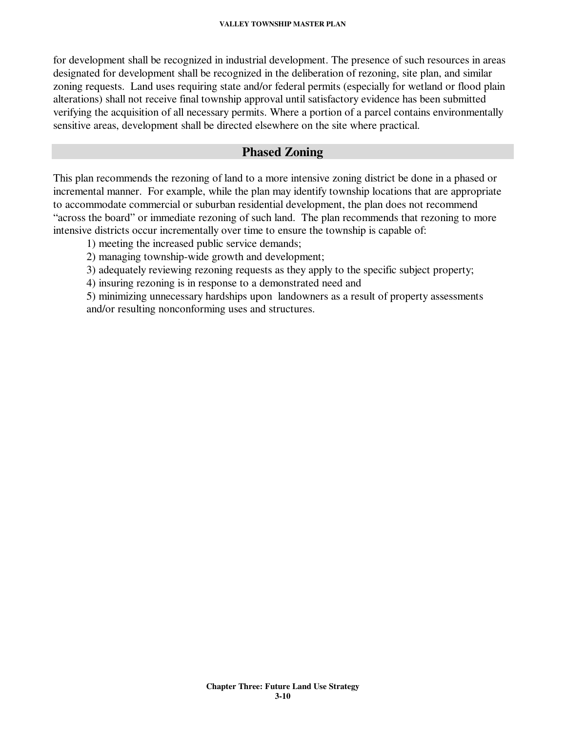for development shall be recognized in industrial development. The presence of such resources in areas designated for development shall be recognized in the deliberation of rezoning, site plan, and similar zoning requests. Land uses requiring state and/or federal permits (especially for wetland or flood plain alterations) shall not receive final township approval until satisfactory evidence has been submitted verifying the acquisition of all necessary permits. Where a portion of a parcel contains environmentally sensitive areas, development shall be directed elsewhere on the site where practical.

# **Phased Zoning**

This plan recommends the rezoning of land to a more intensive zoning district be done in a phased or incremental manner. For example, while the plan may identify township locations that are appropriate to accommodate commercial or suburban residential development, the plan does not recommend "across the board" or immediate rezoning of such land. The plan recommends that rezoning to more intensive districts occur incrementally over time to ensure the township is capable of:

1) meeting the increased public service demands;

2) managing township-wide growth and development;

3) adequately reviewing rezoning requests as they apply to the specific subject property;

4) insuring rezoning is in response to a demonstrated need and

5) minimizing unnecessary hardships upon landowners as a result of property assessments and/or resulting nonconforming uses and structures.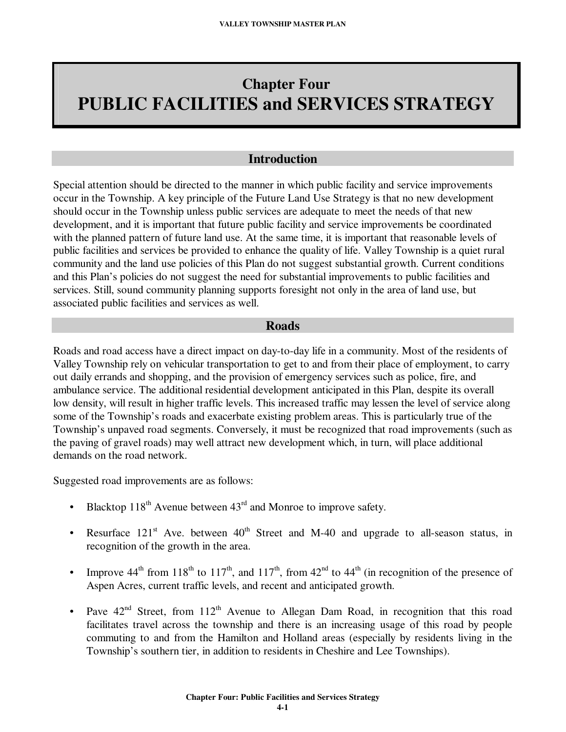# **Chapter Four PUBLIC FACILITIES and SERVICES STRATEGY**

### **Introduction**

Special attention should be directed to the manner in which public facility and service improvements occur in the Township. A key principle of the Future Land Use Strategy is that no new development should occur in the Township unless public services are adequate to meet the needs of that new development, and it is important that future public facility and service improvements be coordinated with the planned pattern of future land use. At the same time, it is important that reasonable levels of public facilities and services be provided to enhance the quality of life. Valley Township is a quiet rural community and the land use policies of this Plan do not suggest substantial growth. Current conditions and this Plan's policies do not suggest the need for substantial improvements to public facilities and services. Still, sound community planning supports foresight not only in the area of land use, but associated public facilities and services as well.

### **Roads**

Roads and road access have a direct impact on day-to-day life in a community. Most of the residents of Valley Township rely on vehicular transportation to get to and from their place of employment, to carry out daily errands and shopping, and the provision of emergency services such as police, fire, and ambulance service. The additional residential development anticipated in this Plan, despite its overall low density, will result in higher traffic levels. This increased traffic may lessen the level of service along some of the Township's roads and exacerbate existing problem areas. This is particularly true of the Township's unpaved road segments. Conversely, it must be recognized that road improvements (such as the paving of gravel roads) may well attract new development which, in turn, will place additional demands on the road network.

Suggested road improvements are as follows:

- Blacktop  $118<sup>th</sup>$  Avenue between  $43<sup>rd</sup>$  and Monroe to improve safety.
- Resurface  $121<sup>st</sup>$  Ave. between  $40<sup>th</sup>$  Street and M-40 and upgrade to all-season status, in recognition of the growth in the area.
- Improve  $44<sup>th</sup>$  from  $118<sup>th</sup>$  to  $117<sup>th</sup>$ , and  $117<sup>th</sup>$ , from  $42<sup>nd</sup>$  to  $44<sup>th</sup>$  (in recognition of the presence of Aspen Acres, current traffic levels, and recent and anticipated growth.
- Pave  $42<sup>nd</sup>$  Street, from  $112<sup>th</sup>$  Avenue to Allegan Dam Road, in recognition that this road facilitates travel across the township and there is an increasing usage of this road by people commuting to and from the Hamilton and Holland areas (especially by residents living in the Township's southern tier, in addition to residents in Cheshire and Lee Townships).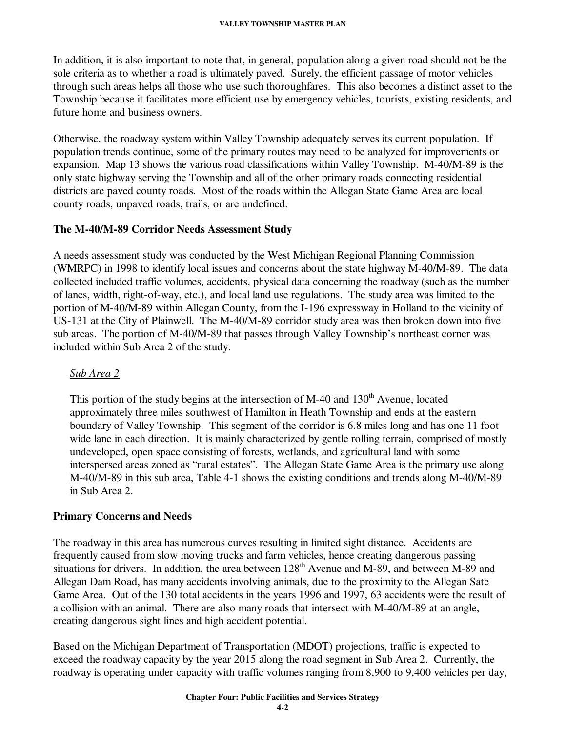In addition, it is also important to note that, in general, population along a given road should not be the sole criteria as to whether a road is ultimately paved. Surely, the efficient passage of motor vehicles through such areas helps all those who use such thoroughfares. This also becomes a distinct asset to the Township because it facilitates more efficient use by emergency vehicles, tourists, existing residents, and future home and business owners.

Otherwise, the roadway system within Valley Township adequately serves its current population. If population trends continue, some of the primary routes may need to be analyzed for improvements or expansion. Map 13 shows the various road classifications within Valley Township. M-40/M-89 is the only state highway serving the Township and all of the other primary roads connecting residential districts are paved county roads. Most of the roads within the Allegan State Game Area are local county roads, unpaved roads, trails, or are undefined.

### **The M-40/M-89 Corridor Needs Assessment Study**

A needs assessment study was conducted by the West Michigan Regional Planning Commission (WMRPC) in 1998 to identify local issues and concerns about the state highway M-40/M-89. The data collected included traffic volumes, accidents, physical data concerning the roadway (such as the number of lanes, width, right-of-way, etc.), and local land use regulations. The study area was limited to the portion of M-40/M-89 within Allegan County, from the I-196 expressway in Holland to the vicinity of US-131 at the City of Plainwell. The M-40/M-89 corridor study area was then broken down into five sub areas. The portion of M-40/M-89 that passes through Valley Township's northeast corner was included within Sub Area 2 of the study.

### *Sub Area 2*

This portion of the study begins at the intersection of  $M$ -40 and 130<sup>th</sup> Avenue, located approximately three miles southwest of Hamilton in Heath Township and ends at the eastern boundary of Valley Township. This segment of the corridor is 6.8 miles long and has one 11 foot wide lane in each direction. It is mainly characterized by gentle rolling terrain, comprised of mostly undeveloped, open space consisting of forests, wetlands, and agricultural land with some interspersed areas zoned as "rural estates". The Allegan State Game Area is the primary use along M-40/M-89 in this sub area, Table 4-1 shows the existing conditions and trends along M-40/M-89 in Sub Area 2.

### **Primary Concerns and Needs**

The roadway in this area has numerous curves resulting in limited sight distance. Accidents are frequently caused from slow moving trucks and farm vehicles, hence creating dangerous passing situations for drivers. In addition, the area between  $128<sup>th</sup>$  Avenue and M-89, and between M-89 and Allegan Dam Road, has many accidents involving animals, due to the proximity to the Allegan Sate Game Area. Out of the 130 total accidents in the years 1996 and 1997, 63 accidents were the result of a collision with an animal. There are also many roads that intersect with M-40/M-89 at an angle, creating dangerous sight lines and high accident potential.

Based on the Michigan Department of Transportation (MDOT) projections, traffic is expected to exceed the roadway capacity by the year 2015 along the road segment in Sub Area 2. Currently, the roadway is operating under capacity with traffic volumes ranging from 8,900 to 9,400 vehicles per day,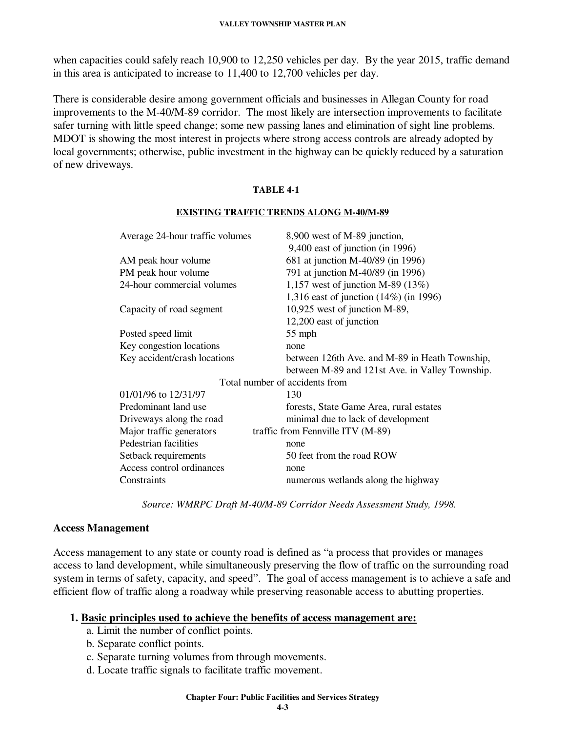when capacities could safely reach 10,900 to 12,250 vehicles per day. By the year 2015, traffic demand in this area is anticipated to increase to 11,400 to 12,700 vehicles per day.

There is considerable desire among government officials and businesses in Allegan County for road improvements to the M-40/M-89 corridor. The most likely are intersection improvements to facilitate safer turning with little speed change; some new passing lanes and elimination of sight line problems. MDOT is showing the most interest in projects where strong access controls are already adopted by local governments; otherwise, public investment in the highway can be quickly reduced by a saturation of new driveways.

### **TABLE 4-1**

### **EXISTING TRAFFIC TRENDS ALONG M-40/M-89**

| Average 24-hour traffic volumes | 8,900 west of M-89 junction,                    |
|---------------------------------|-------------------------------------------------|
|                                 | 9,400 east of junction (in 1996)                |
| AM peak hour volume             | 681 at junction M-40/89 (in 1996)               |
| PM peak hour volume             | 791 at junction M-40/89 (in 1996)               |
| 24-hour commercial volumes      | 1,157 west of junction M-89 $(13%)$             |
|                                 | 1,316 east of junction (14%) (in 1996)          |
| Capacity of road segment        | 10,925 west of junction M-89,                   |
|                                 | 12,200 east of junction                         |
| Posted speed limit              | $55$ mph                                        |
| Key congestion locations        | none                                            |
| Key accident/crash locations    | between 126th Ave. and M-89 in Heath Township,  |
|                                 | between M-89 and 121st Ave. in Valley Township. |
|                                 | Total number of accidents from                  |
| 01/01/96 to 12/31/97            | 130                                             |
| Predominant land use            | forests, State Game Area, rural estates         |
| Driveways along the road        | minimal due to lack of development              |
| Major traffic generators        | traffic from Fennville ITV (M-89)               |
| Pedestrian facilities           | none                                            |
| Setback requirements            | 50 feet from the road ROW                       |
| Access control ordinances       | none                                            |
| Constraints                     | numerous wetlands along the highway             |
|                                 |                                                 |

*Source: WMRPC Draft M-40/M-89 Corridor Needs Assessment Study, 1998.* 

### **Access Management**

Access management to any state or county road is defined as "a process that provides or manages access to land development, while simultaneously preserving the flow of traffic on the surrounding road system in terms of safety, capacity, and speed". The goal of access management is to achieve a safe and efficient flow of traffic along a roadway while preserving reasonable access to abutting properties.

### **1. Basic principles used to achieve the benefits of access management are:**

- a. Limit the number of conflict points.
- b. Separate conflict points.
- c. Separate turning volumes from through movements.
- d. Locate traffic signals to facilitate traffic movement.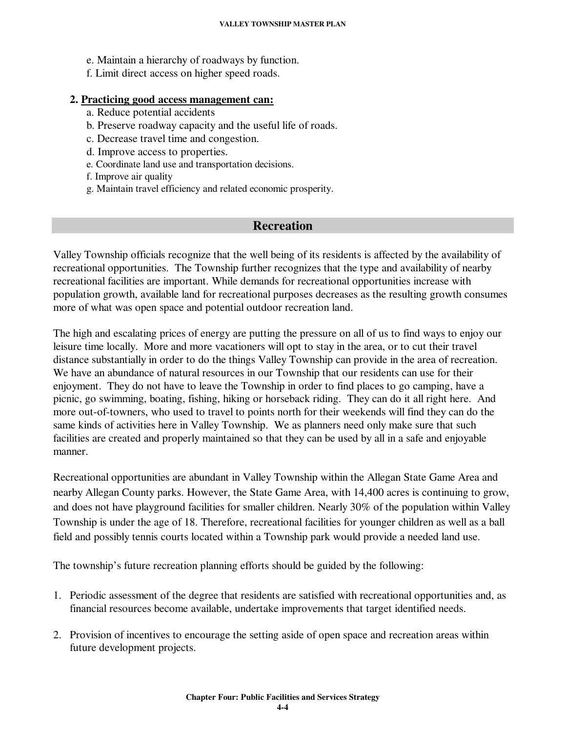- e. Maintain a hierarchy of roadways by function.
- f. Limit direct access on higher speed roads.

### **2. Practicing good access management can:**

- a. Reduce potential accidents
- b. Preserve roadway capacity and the useful life of roads.
- c. Decrease travel time and congestion.
- d. Improve access to properties.
- e. Coordinate land use and transportation decisions.
- f. Improve air quality
- g. Maintain travel efficiency and related economic prosperity.

### **Recreation**

Valley Township officials recognize that the well being of its residents is affected by the availability of recreational opportunities. The Township further recognizes that the type and availability of nearby recreational facilities are important. While demands for recreational opportunities increase with population growth, available land for recreational purposes decreases as the resulting growth consumes more of what was open space and potential outdoor recreation land.

The high and escalating prices of energy are putting the pressure on all of us to find ways to enjoy our leisure time locally. More and more vacationers will opt to stay in the area, or to cut their travel distance substantially in order to do the things Valley Township can provide in the area of recreation. We have an abundance of natural resources in our Township that our residents can use for their enjoyment. They do not have to leave the Township in order to find places to go camping, have a picnic, go swimming, boating, fishing, hiking or horseback riding. They can do it all right here. And more out-of-towners, who used to travel to points north for their weekends will find they can do the same kinds of activities here in Valley Township. We as planners need only make sure that such facilities are created and properly maintained so that they can be used by all in a safe and enjoyable manner.

Recreational opportunities are abundant in Valley Township within the Allegan State Game Area and nearby Allegan County parks. However, the State Game Area, with 14,400 acres is continuing to grow, and does not have playground facilities for smaller children. Nearly 30% of the population within Valley Township is under the age of 18. Therefore, recreational facilities for younger children as well as a ball field and possibly tennis courts located within a Township park would provide a needed land use.

The township's future recreation planning efforts should be guided by the following:

- 1. Periodic assessment of the degree that residents are satisfied with recreational opportunities and, as financial resources become available, undertake improvements that target identified needs.
- 2. Provision of incentives to encourage the setting aside of open space and recreation areas within future development projects.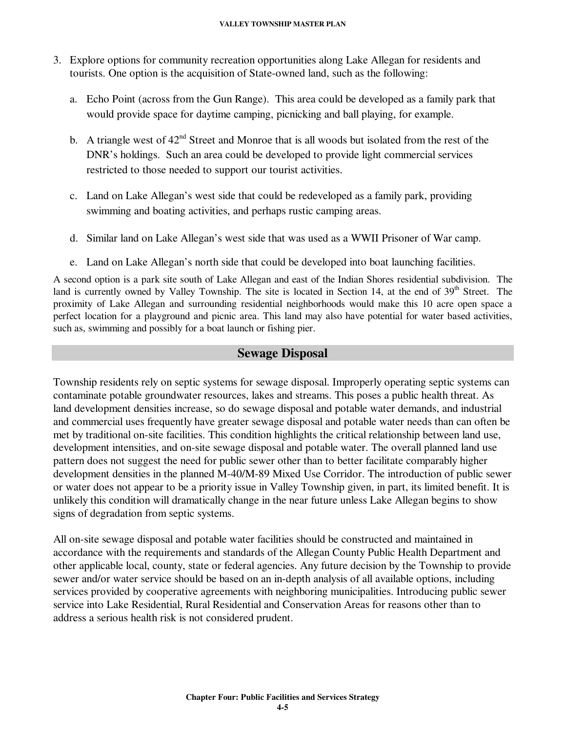- 3. Explore options for community recreation opportunities along Lake Allegan for residents and tourists. One option is the acquisition of State-owned land, such as the following:
	- a. Echo Point (across from the Gun Range). This area could be developed as a family park that would provide space for daytime camping, picnicking and ball playing, for example.
	- b. A triangle west of  $42<sup>nd</sup>$  Street and Monroe that is all woods but isolated from the rest of the DNR's holdings. Such an area could be developed to provide light commercial services restricted to those needed to support our tourist activities.
	- c. Land on Lake Allegan's west side that could be redeveloped as a family park, providing swimming and boating activities, and perhaps rustic camping areas.
	- d. Similar land on Lake Allegan's west side that was used as a WWII Prisoner of War camp.
	- e. Land on Lake Allegan's north side that could be developed into boat launching facilities.

A second option is a park site south of Lake Allegan and east of the Indian Shores residential subdivision. The land is currently owned by Valley Township. The site is located in Section 14, at the end of 39<sup>th</sup> Street. The proximity of Lake Allegan and surrounding residential neighborhoods would make this 10 acre open space a perfect location for a playground and picnic area. This land may also have potential for water based activities, such as, swimming and possibly for a boat launch or fishing pier.

### **Sewage Disposal**

Township residents rely on septic systems for sewage disposal. Improperly operating septic systems can contaminate potable groundwater resources, lakes and streams. This poses a public health threat. As land development densities increase, so do sewage disposal and potable water demands, and industrial and commercial uses frequently have greater sewage disposal and potable water needs than can often be met by traditional on-site facilities. This condition highlights the critical relationship between land use, development intensities, and on-site sewage disposal and potable water. The overall planned land use pattern does not suggest the need for public sewer other than to better facilitate comparably higher development densities in the planned M-40/M-89 Mixed Use Corridor. The introduction of public sewer or water does not appear to be a priority issue in Valley Township given, in part, its limited benefit. It is unlikely this condition will dramatically change in the near future unless Lake Allegan begins to show signs of degradation from septic systems.

All on-site sewage disposal and potable water facilities should be constructed and maintained in accordance with the requirements and standards of the Allegan County Public Health Department and other applicable local, county, state or federal agencies. Any future decision by the Township to provide sewer and/or water service should be based on an in-depth analysis of all available options, including services provided by cooperative agreements with neighboring municipalities. Introducing public sewer service into Lake Residential, Rural Residential and Conservation Areas for reasons other than to address a serious health risk is not considered prudent.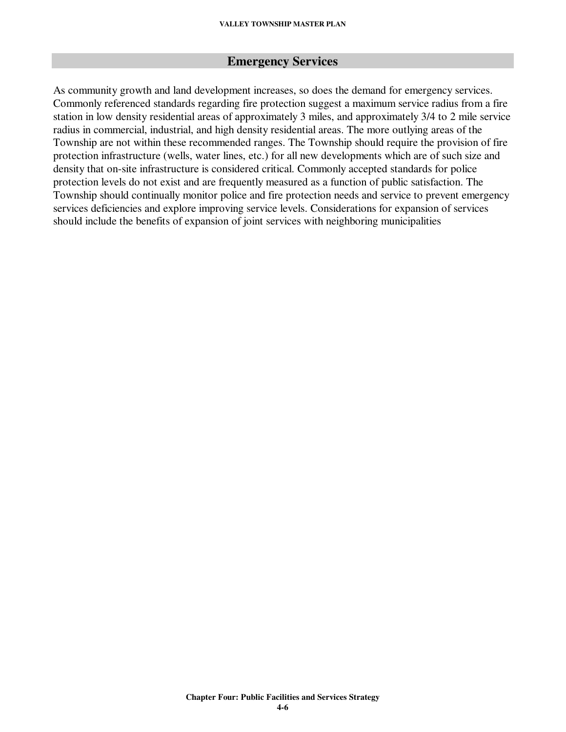### **Emergency Services**

As community growth and land development increases, so does the demand for emergency services. Commonly referenced standards regarding fire protection suggest a maximum service radius from a fire station in low density residential areas of approximately 3 miles, and approximately 3/4 to 2 mile service radius in commercial, industrial, and high density residential areas. The more outlying areas of the Township are not within these recommended ranges. The Township should require the provision of fire protection infrastructure (wells, water lines, etc.) for all new developments which are of such size and density that on-site infrastructure is considered critical. Commonly accepted standards for police protection levels do not exist and are frequently measured as a function of public satisfaction. The Township should continually monitor police and fire protection needs and service to prevent emergency services deficiencies and explore improving service levels. Considerations for expansion of services should include the benefits of expansion of joint services with neighboring municipalities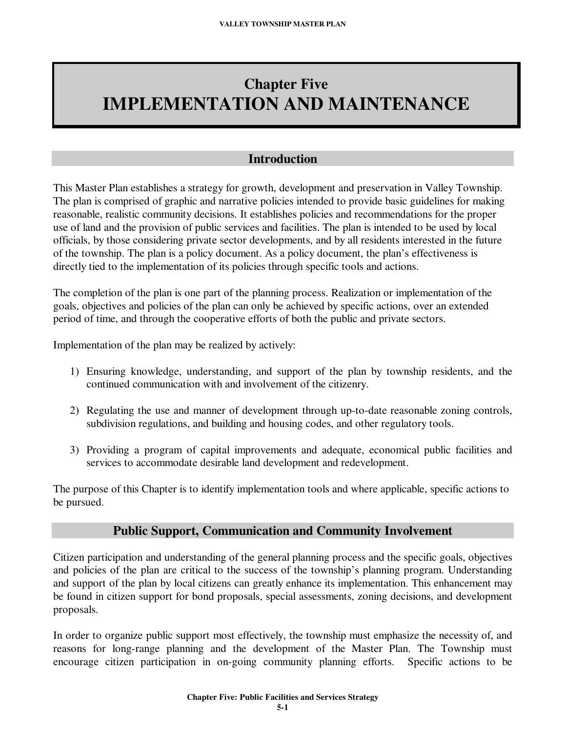# **Chapter Five IMPLEMENTATION AND MAINTENANCE**

# **Introduction**

This Master Plan establishes a strategy for growth, development and preservation in Valley Township. The plan is comprised of graphic and narrative policies intended to provide basic guidelines for making reasonable, realistic community decisions. It establishes policies and recommendations for the proper use of land and the provision of public services and facilities. The plan is intended to be used by local officials, by those considering private sector developments, and by all residents interested in the future of the township. The plan is a policy document. As a policy document, the plan's effectiveness is directly tied to the implementation of its policies through specific tools and actions.

The completion of the plan is one part of the planning process. Realization or implementation of the goals, objectives and policies of the plan can only be achieved by specific actions, over an extended period of time, and through the cooperative efforts of both the public and private sectors.

Implementation of the plan may be realized by actively:

- 1) Ensuring knowledge, understanding, and support of the plan by township residents, and the continued communication with and involvement of the citizenry.
- 2) Regulating the use and manner of development through up-to-date reasonable zoning controls, subdivision regulations, and building and housing codes, and other regulatory tools.
- 3) Providing a program of capital improvements and adequate, economical public facilities and services to accommodate desirable land development and redevelopment.

The purpose of this Chapter is to identify implementation tools and where applicable, specific actions to be pursued.

# **Public Support, Communication and Community Involvement**

Citizen participation and understanding of the general planning process and the specific goals, objectives and policies of the plan are critical to the success of the township's planning program. Understanding and support of the plan by local citizens can greatly enhance its implementation. This enhancement may be found in citizen support for bond proposals, special assessments, zoning decisions, and development proposals.

In order to organize public support most effectively, the township must emphasize the necessity of, and reasons for long-range planning and the development of the Master Plan. The Township must encourage citizen participation in on-going community planning efforts. Specific actions to be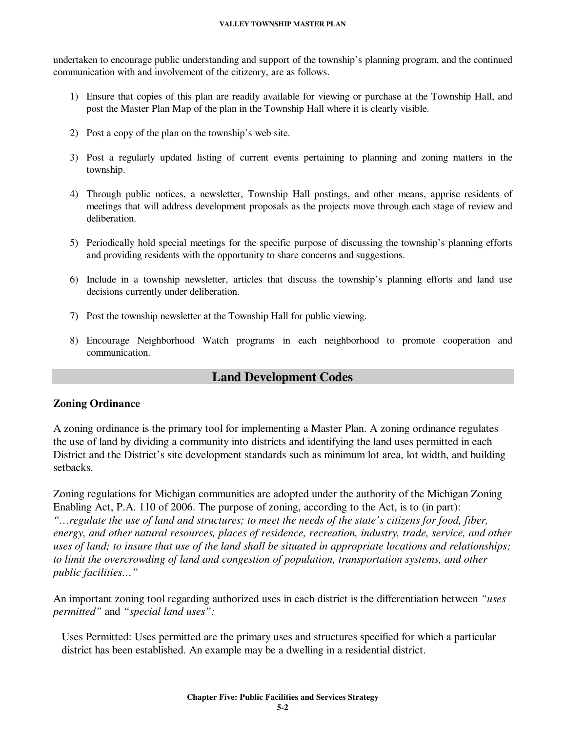undertaken to encourage public understanding and support of the township's planning program, and the continued communication with and involvement of the citizenry, are as follows.

- 1) Ensure that copies of this plan are readily available for viewing or purchase at the Township Hall, and post the Master Plan Map of the plan in the Township Hall where it is clearly visible.
- 2) Post a copy of the plan on the township's web site.
- 3) Post a regularly updated listing of current events pertaining to planning and zoning matters in the township.
- 4) Through public notices, a newsletter, Township Hall postings, and other means, apprise residents of meetings that will address development proposals as the projects move through each stage of review and deliberation.
- 5) Periodically hold special meetings for the specific purpose of discussing the township's planning efforts and providing residents with the opportunity to share concerns and suggestions.
- 6) Include in a township newsletter, articles that discuss the township's planning efforts and land use decisions currently under deliberation.
- 7) Post the township newsletter at the Township Hall for public viewing.
- 8) Encourage Neighborhood Watch programs in each neighborhood to promote cooperation and communication.

# **Land Development Codes**

### **Zoning Ordinance**

A zoning ordinance is the primary tool for implementing a Master Plan. A zoning ordinance regulates the use of land by dividing a community into districts and identifying the land uses permitted in each District and the District's site development standards such as minimum lot area, lot width, and building setbacks.

Zoning regulations for Michigan communities are adopted under the authority of the Michigan Zoning Enabling Act, P.A. 110 of 2006. The purpose of zoning, according to the Act, is to (in part): *"…regulate the use of land and structures; to meet the needs of the state's citizens for food, fiber, energy, and other natural resources, places of residence, recreation, industry, trade, service, and other uses of land; to insure that use of the land shall be situated in appropriate locations and relationships; to limit the overcrowding of land and congestion of population, transportation systems, and other public facilities…"* 

An important zoning tool regarding authorized uses in each district is the differentiation between *"uses permitted"* and *"special land uses":* 

Uses Permitted: Uses permitted are the primary uses and structures specified for which a particular district has been established. An example may be a dwelling in a residential district.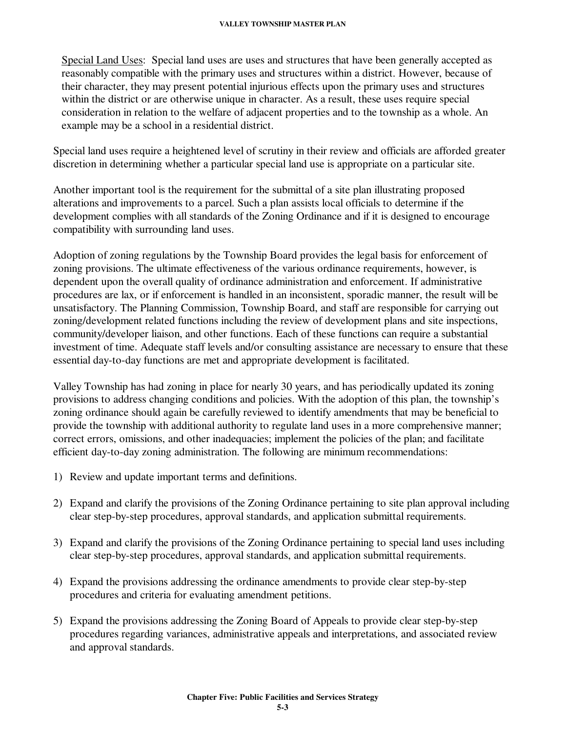Special Land Uses: Special land uses are uses and structures that have been generally accepted as reasonably compatible with the primary uses and structures within a district. However, because of their character, they may present potential injurious effects upon the primary uses and structures within the district or are otherwise unique in character. As a result, these uses require special consideration in relation to the welfare of adjacent properties and to the township as a whole. An example may be a school in a residential district.

Special land uses require a heightened level of scrutiny in their review and officials are afforded greater discretion in determining whether a particular special land use is appropriate on a particular site.

Another important tool is the requirement for the submittal of a site plan illustrating proposed alterations and improvements to a parcel. Such a plan assists local officials to determine if the development complies with all standards of the Zoning Ordinance and if it is designed to encourage compatibility with surrounding land uses.

Adoption of zoning regulations by the Township Board provides the legal basis for enforcement of zoning provisions. The ultimate effectiveness of the various ordinance requirements, however, is dependent upon the overall quality of ordinance administration and enforcement. If administrative procedures are lax, or if enforcement is handled in an inconsistent, sporadic manner, the result will be unsatisfactory. The Planning Commission, Township Board, and staff are responsible for carrying out zoning/development related functions including the review of development plans and site inspections, community/developer liaison, and other functions. Each of these functions can require a substantial investment of time. Adequate staff levels and/or consulting assistance are necessary to ensure that these essential day-to-day functions are met and appropriate development is facilitated.

Valley Township has had zoning in place for nearly 30 years, and has periodically updated its zoning provisions to address changing conditions and policies. With the adoption of this plan, the township's zoning ordinance should again be carefully reviewed to identify amendments that may be beneficial to provide the township with additional authority to regulate land uses in a more comprehensive manner; correct errors, omissions, and other inadequacies; implement the policies of the plan; and facilitate efficient day-to-day zoning administration. The following are minimum recommendations:

- 1) Review and update important terms and definitions.
- 2) Expand and clarify the provisions of the Zoning Ordinance pertaining to site plan approval including clear step-by-step procedures, approval standards, and application submittal requirements.
- 3) Expand and clarify the provisions of the Zoning Ordinance pertaining to special land uses including clear step-by-step procedures, approval standards, and application submittal requirements.
- 4) Expand the provisions addressing the ordinance amendments to provide clear step-by-step procedures and criteria for evaluating amendment petitions.
- 5) Expand the provisions addressing the Zoning Board of Appeals to provide clear step-by-step procedures regarding variances, administrative appeals and interpretations, and associated review and approval standards.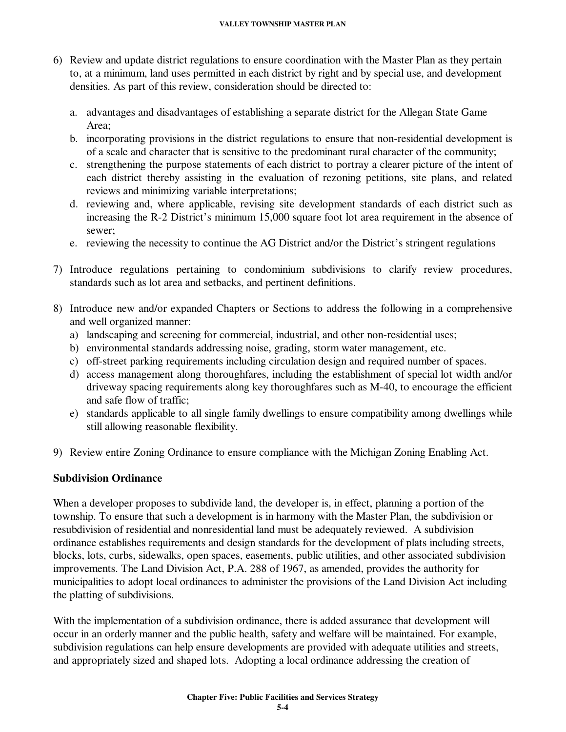- 6) Review and update district regulations to ensure coordination with the Master Plan as they pertain to, at a minimum, land uses permitted in each district by right and by special use, and development densities. As part of this review, consideration should be directed to:
	- a. advantages and disadvantages of establishing a separate district for the Allegan State Game Area;
	- b. incorporating provisions in the district regulations to ensure that non-residential development is of a scale and character that is sensitive to the predominant rural character of the community;
	- c. strengthening the purpose statements of each district to portray a clearer picture of the intent of each district thereby assisting in the evaluation of rezoning petitions, site plans, and related reviews and minimizing variable interpretations;
	- d. reviewing and, where applicable, revising site development standards of each district such as increasing the R-2 District's minimum 15,000 square foot lot area requirement in the absence of sewer;
	- e. reviewing the necessity to continue the AG District and/or the District's stringent regulations
- 7) Introduce regulations pertaining to condominium subdivisions to clarify review procedures, standards such as lot area and setbacks, and pertinent definitions.
- 8) Introduce new and/or expanded Chapters or Sections to address the following in a comprehensive and well organized manner:
	- a) landscaping and screening for commercial, industrial, and other non-residential uses;
	- b) environmental standards addressing noise, grading, storm water management, etc.
	- c) off-street parking requirements including circulation design and required number of spaces.
	- d) access management along thoroughfares, including the establishment of special lot width and/or driveway spacing requirements along key thoroughfares such as M-40, to encourage the efficient and safe flow of traffic;
	- e) standards applicable to all single family dwellings to ensure compatibility among dwellings while still allowing reasonable flexibility.
- 9) Review entire Zoning Ordinance to ensure compliance with the Michigan Zoning Enabling Act.

### **Subdivision Ordinance**

When a developer proposes to subdivide land, the developer is, in effect, planning a portion of the township. To ensure that such a development is in harmony with the Master Plan, the subdivision or resubdivision of residential and nonresidential land must be adequately reviewed. A subdivision ordinance establishes requirements and design standards for the development of plats including streets, blocks, lots, curbs, sidewalks, open spaces, easements, public utilities, and other associated subdivision improvements. The Land Division Act, P.A. 288 of 1967, as amended, provides the authority for municipalities to adopt local ordinances to administer the provisions of the Land Division Act including the platting of subdivisions.

With the implementation of a subdivision ordinance, there is added assurance that development will occur in an orderly manner and the public health, safety and welfare will be maintained. For example, subdivision regulations can help ensure developments are provided with adequate utilities and streets, and appropriately sized and shaped lots. Adopting a local ordinance addressing the creation of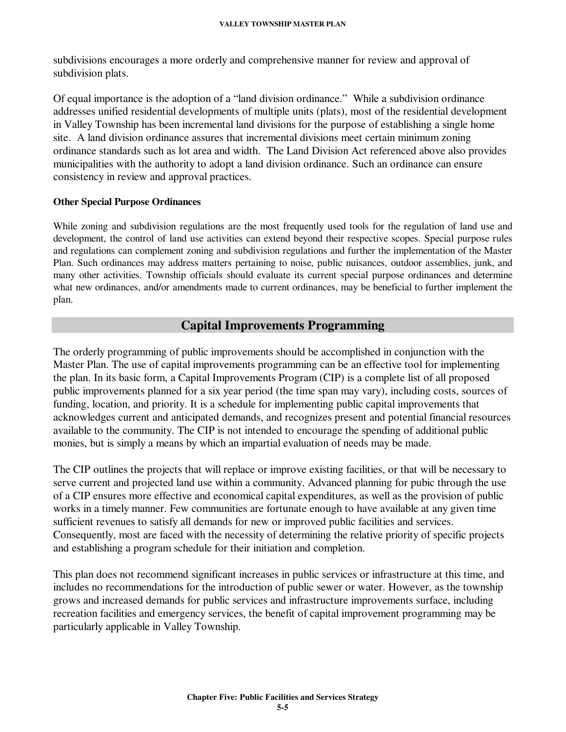subdivisions encourages a more orderly and comprehensive manner for review and approval of subdivision plats.

Of equal importance is the adoption of a "land division ordinance." While a subdivision ordinance addresses unified residential developments of multiple units (plats), most of the residential development in Valley Township has been incremental land divisions for the purpose of establishing a single home site. A land division ordinance assures that incremental divisions meet certain minimum zoning ordinance standards such as lot area and width. The Land Division Act referenced above also provides municipalities with the authority to adopt a land division ordinance. Such an ordinance can ensure consistency in review and approval practices.

### **Other Special Purpose Ordinances**

While zoning and subdivision regulations are the most frequently used tools for the regulation of land use and development, the control of land use activities can extend beyond their respective scopes. Special purpose rules and regulations can complement zoning and subdivision regulations and further the implementation of the Master Plan. Such ordinances may address matters pertaining to noise, public nuisances, outdoor assemblies, junk, and many other activities. Township officials should evaluate its current special purpose ordinances and determine what new ordinances, and/or amendments made to current ordinances, may be beneficial to further implement the plan.

### **Capital Improvements Programming**

The orderly programming of public improvements should be accomplished in conjunction with the Master Plan. The use of capital improvements programming can be an effective tool for implementing the plan. In its basic form, a Capital Improvements Program (CIP) is a complete list of all proposed public improvements planned for a six year period (the time span may vary), including costs, sources of funding, location, and priority. It is a schedule for implementing public capital improvements that acknowledges current and anticipated demands, and recognizes present and potential financial resources available to the community. The CIP is not intended to encourage the spending of additional public monies, but is simply a means by which an impartial evaluation of needs may be made.

The CIP outlines the projects that will replace or improve existing facilities, or that will be necessary to serve current and projected land use within a community. Advanced planning for pubic through the use of a CIP ensures more effective and economical capital expenditures, as well as the provision of public works in a timely manner. Few communities are fortunate enough to have available at any given time sufficient revenues to satisfy all demands for new or improved public facilities and services. Consequently, most are faced with the necessity of determining the relative priority of specific projects and establishing a program schedule for their initiation and completion.

This plan does not recommend significant increases in public services or infrastructure at this time, and includes no recommendations for the introduction of public sewer or water. However, as the township grows and increased demands for public services and infrastructure improvements surface, including recreation facilities and emergency services, the benefit of capital improvement programming may be particularly applicable in Valley Township.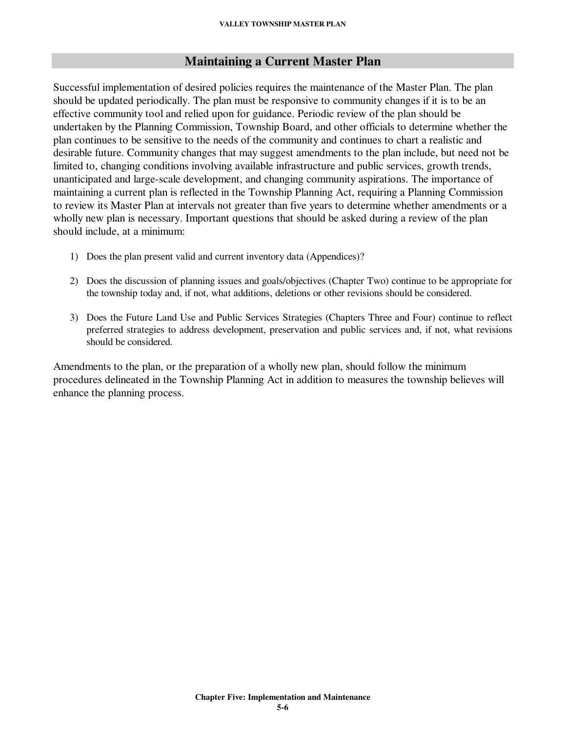### **Maintaining a Current Master Plan**

Successful implementation of desired policies requires the maintenance of the Master Plan. The plan should be updated periodically. The plan must be responsive to community changes if it is to be an effective community tool and relied upon for guidance. Periodic review of the plan should be undertaken by the Planning Commission, Township Board, and other officials to determine whether the plan continues to be sensitive to the needs of the community and continues to chart a realistic and desirable future. Community changes that may suggest amendments to the plan include, but need not be limited to, changing conditions involving available infrastructure and public services, growth trends, unanticipated and large-scale development, and changing community aspirations. The importance of maintaining a current plan is reflected in the Township Planning Act, requiring a Planning Commission to review its Master Plan at intervals not greater than five years to determine whether amendments or a wholly new plan is necessary. Important questions that should be asked during a review of the plan should include, at a minimum:

- 1) Does the plan present valid and current inventory data (Appendices)?
- 2) Does the discussion of planning issues and goals/objectives (Chapter Two) continue to be appropriate for the township today and, if not, what additions, deletions or other revisions should be considered.
- 3) Does the Future Land Use and Public Services Strategies (Chapters Three and Four) continue to reflect preferred strategies to address development, preservation and public services and, if not, what revisions should be considered.

Amendments to the plan, or the preparation of a wholly new plan, should follow the minimum procedures delineated in the Township Planning Act in addition to measures the township believes will enhance the planning process.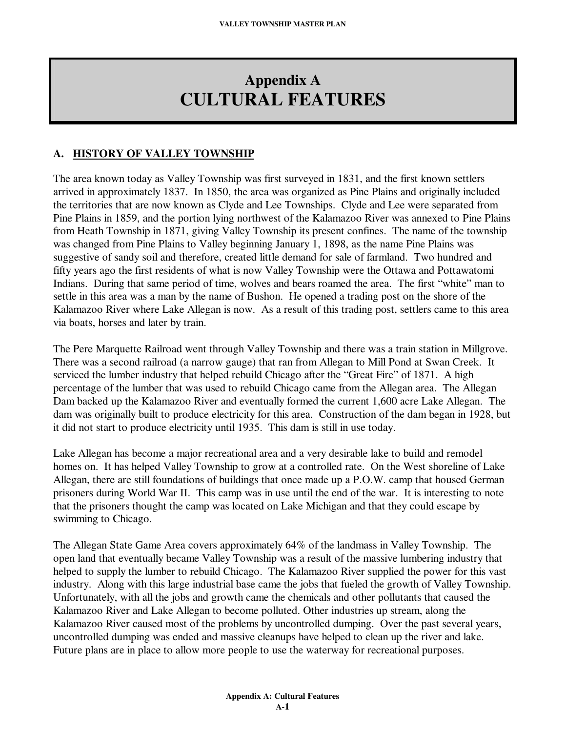# **Appendix A CULTURAL FEATURES**

### **A. HISTORY OF VALLEY TOWNSHIP**

The area known today as Valley Township was first surveyed in 1831, and the first known settlers arrived in approximately 1837. In 1850, the area was organized as Pine Plains and originally included the territories that are now known as Clyde and Lee Townships. Clyde and Lee were separated from Pine Plains in 1859, and the portion lying northwest of the Kalamazoo River was annexed to Pine Plains from Heath Township in 1871, giving Valley Township its present confines. The name of the township was changed from Pine Plains to Valley beginning January 1, 1898, as the name Pine Plains was suggestive of sandy soil and therefore, created little demand for sale of farmland. Two hundred and fifty years ago the first residents of what is now Valley Township were the Ottawa and Pottawatomi Indians. During that same period of time, wolves and bears roamed the area. The first "white" man to settle in this area was a man by the name of Bushon. He opened a trading post on the shore of the Kalamazoo River where Lake Allegan is now. As a result of this trading post, settlers came to this area via boats, horses and later by train.

The Pere Marquette Railroad went through Valley Township and there was a train station in Millgrove. There was a second railroad (a narrow gauge) that ran from Allegan to Mill Pond at Swan Creek. It serviced the lumber industry that helped rebuild Chicago after the "Great Fire" of 1871. A high percentage of the lumber that was used to rebuild Chicago came from the Allegan area. The Allegan Dam backed up the Kalamazoo River and eventually formed the current 1,600 acre Lake Allegan. The dam was originally built to produce electricity for this area. Construction of the dam began in 1928, but it did not start to produce electricity until 1935. This dam is still in use today.

Lake Allegan has become a major recreational area and a very desirable lake to build and remodel homes on. It has helped Valley Township to grow at a controlled rate. On the West shoreline of Lake Allegan, there are still foundations of buildings that once made up a P.O.W. camp that housed German prisoners during World War II. This camp was in use until the end of the war. It is interesting to note that the prisoners thought the camp was located on Lake Michigan and that they could escape by swimming to Chicago.

The Allegan State Game Area covers approximately 64% of the landmass in Valley Township. The open land that eventually became Valley Township was a result of the massive lumbering industry that helped to supply the lumber to rebuild Chicago. The Kalamazoo River supplied the power for this vast industry. Along with this large industrial base came the jobs that fueled the growth of Valley Township. Unfortunately, with all the jobs and growth came the chemicals and other pollutants that caused the Kalamazoo River and Lake Allegan to become polluted. Other industries up stream, along the Kalamazoo River caused most of the problems by uncontrolled dumping. Over the past several years, uncontrolled dumping was ended and massive cleanups have helped to clean up the river and lake. Future plans are in place to allow more people to use the waterway for recreational purposes.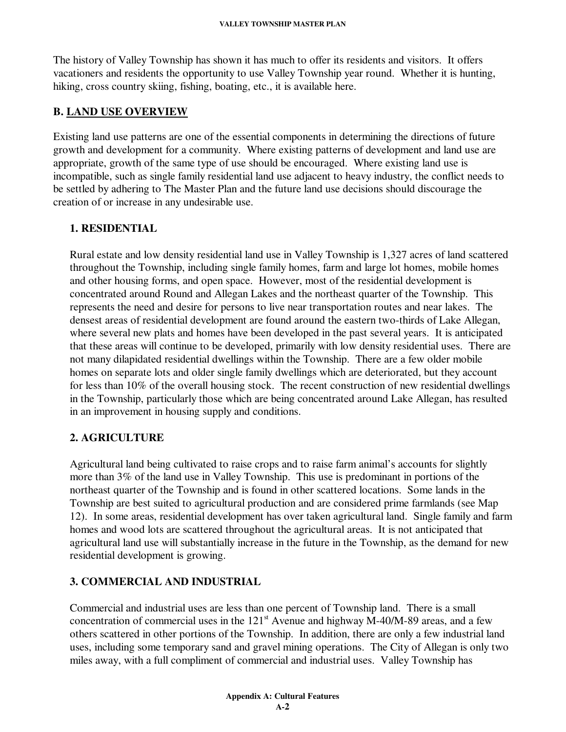The history of Valley Township has shown it has much to offer its residents and visitors. It offers vacationers and residents the opportunity to use Valley Township year round. Whether it is hunting, hiking, cross country skiing, fishing, boating, etc., it is available here.

### **B. LAND USE OVERVIEW**

Existing land use patterns are one of the essential components in determining the directions of future growth and development for a community. Where existing patterns of development and land use are appropriate, growth of the same type of use should be encouraged. Where existing land use is incompatible, such as single family residential land use adjacent to heavy industry, the conflict needs to be settled by adhering to The Master Plan and the future land use decisions should discourage the creation of or increase in any undesirable use.

### **1. RESIDENTIAL**

Rural estate and low density residential land use in Valley Township is 1,327 acres of land scattered throughout the Township, including single family homes, farm and large lot homes, mobile homes and other housing forms, and open space. However, most of the residential development is concentrated around Round and Allegan Lakes and the northeast quarter of the Township. This represents the need and desire for persons to live near transportation routes and near lakes. The densest areas of residential development are found around the eastern two-thirds of Lake Allegan, where several new plats and homes have been developed in the past several years. It is anticipated that these areas will continue to be developed, primarily with low density residential uses. There are not many dilapidated residential dwellings within the Township. There are a few older mobile homes on separate lots and older single family dwellings which are deteriorated, but they account for less than 10% of the overall housing stock. The recent construction of new residential dwellings in the Township, particularly those which are being concentrated around Lake Allegan, has resulted in an improvement in housing supply and conditions.

### **2. AGRICULTURE**

Agricultural land being cultivated to raise crops and to raise farm animal's accounts for slightly more than 3% of the land use in Valley Township. This use is predominant in portions of the northeast quarter of the Township and is found in other scattered locations. Some lands in the Township are best suited to agricultural production and are considered prime farmlands (see Map 12). In some areas, residential development has over taken agricultural land. Single family and farm homes and wood lots are scattered throughout the agricultural areas. It is not anticipated that agricultural land use will substantially increase in the future in the Township, as the demand for new residential development is growing.

### **3. COMMERCIAL AND INDUSTRIAL**

Commercial and industrial uses are less than one percent of Township land. There is a small concentration of commercial uses in the  $121<sup>st</sup>$  Avenue and highway M-40/M-89 areas, and a few others scattered in other portions of the Township. In addition, there are only a few industrial land uses, including some temporary sand and gravel mining operations. The City of Allegan is only two miles away, with a full compliment of commercial and industrial uses. Valley Township has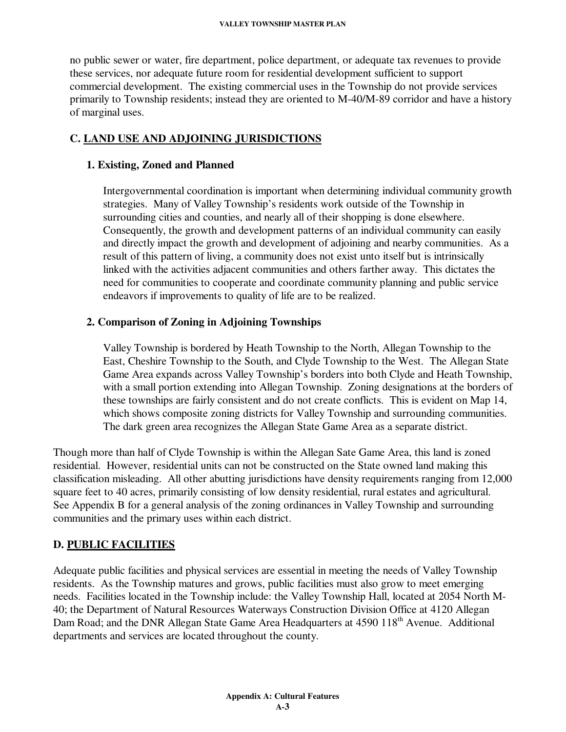no public sewer or water, fire department, police department, or adequate tax revenues to provide these services, nor adequate future room for residential development sufficient to support commercial development. The existing commercial uses in the Township do not provide services primarily to Township residents; instead they are oriented to M-40/M-89 corridor and have a history of marginal uses.

### **C. LAND USE AND ADJOINING JURISDICTIONS**

### **1. Existing, Zoned and Planned**

Intergovernmental coordination is important when determining individual community growth strategies. Many of Valley Township's residents work outside of the Township in surrounding cities and counties, and nearly all of their shopping is done elsewhere. Consequently, the growth and development patterns of an individual community can easily and directly impact the growth and development of adjoining and nearby communities. As a result of this pattern of living, a community does not exist unto itself but is intrinsically linked with the activities adjacent communities and others farther away. This dictates the need for communities to cooperate and coordinate community planning and public service endeavors if improvements to quality of life are to be realized.

### **2. Comparison of Zoning in Adjoining Townships**

Valley Township is bordered by Heath Township to the North, Allegan Township to the East, Cheshire Township to the South, and Clyde Township to the West. The Allegan State Game Area expands across Valley Township's borders into both Clyde and Heath Township, with a small portion extending into Allegan Township. Zoning designations at the borders of these townships are fairly consistent and do not create conflicts. This is evident on Map 14, which shows composite zoning districts for Valley Township and surrounding communities. The dark green area recognizes the Allegan State Game Area as a separate district.

Though more than half of Clyde Township is within the Allegan Sate Game Area, this land is zoned residential. However, residential units can not be constructed on the State owned land making this classification misleading. All other abutting jurisdictions have density requirements ranging from 12,000 square feet to 40 acres, primarily consisting of low density residential, rural estates and agricultural. See Appendix B for a general analysis of the zoning ordinances in Valley Township and surrounding communities and the primary uses within each district.

### **D. PUBLIC FACILITIES**

Adequate public facilities and physical services are essential in meeting the needs of Valley Township residents. As the Township matures and grows, public facilities must also grow to meet emerging needs. Facilities located in the Township include: the Valley Township Hall, located at 2054 North M-40; the Department of Natural Resources Waterways Construction Division Office at 4120 Allegan Dam Road; and the DNR Allegan State Game Area Headquarters at 4590 118<sup>th</sup> Avenue. Additional departments and services are located throughout the county.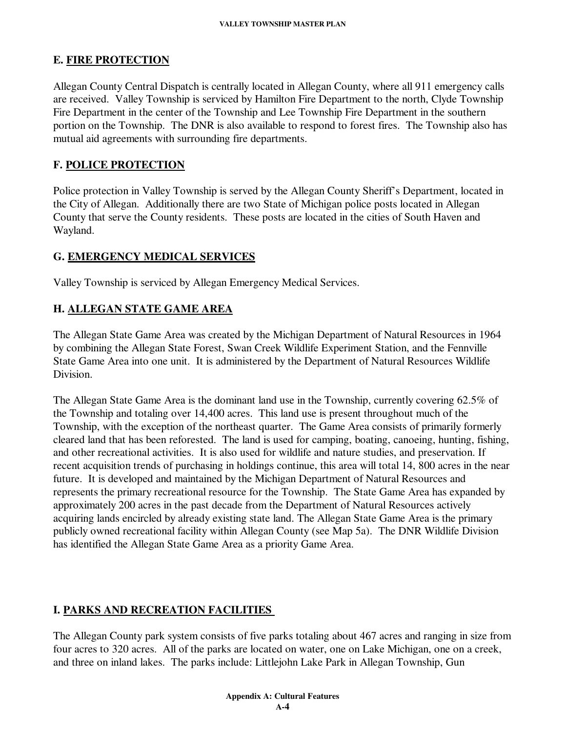### **E. FIRE PROTECTION**

Allegan County Central Dispatch is centrally located in Allegan County, where all 911 emergency calls are received. Valley Township is serviced by Hamilton Fire Department to the north, Clyde Township Fire Department in the center of the Township and Lee Township Fire Department in the southern portion on the Township. The DNR is also available to respond to forest fires. The Township also has mutual aid agreements with surrounding fire departments.

### **F. POLICE PROTECTION**

Police protection in Valley Township is served by the Allegan County Sheriff's Department, located in the City of Allegan. Additionally there are two State of Michigan police posts located in Allegan County that serve the County residents. These posts are located in the cities of South Haven and Wayland.

### **G. EMERGENCY MEDICAL SERVICES**

Valley Township is serviced by Allegan Emergency Medical Services.

### **H. ALLEGAN STATE GAME AREA**

The Allegan State Game Area was created by the Michigan Department of Natural Resources in 1964 by combining the Allegan State Forest, Swan Creek Wildlife Experiment Station, and the Fennville State Game Area into one unit. It is administered by the Department of Natural Resources Wildlife Division.

The Allegan State Game Area is the dominant land use in the Township, currently covering 62.5% of the Township and totaling over 14,400 acres. This land use is present throughout much of the Township, with the exception of the northeast quarter. The Game Area consists of primarily formerly cleared land that has been reforested. The land is used for camping, boating, canoeing, hunting, fishing, and other recreational activities. It is also used for wildlife and nature studies, and preservation. If recent acquisition trends of purchasing in holdings continue, this area will total 14, 800 acres in the near future. It is developed and maintained by the Michigan Department of Natural Resources and represents the primary recreational resource for the Township. The State Game Area has expanded by approximately 200 acres in the past decade from the Department of Natural Resources actively acquiring lands encircled by already existing state land. The Allegan State Game Area is the primary publicly owned recreational facility within Allegan County (see Map 5a). The DNR Wildlife Division has identified the Allegan State Game Area as a priority Game Area.

# **I. PARKS AND RECREATION FACILITIES**

The Allegan County park system consists of five parks totaling about 467 acres and ranging in size from four acres to 320 acres. All of the parks are located on water, one on Lake Michigan, one on a creek, and three on inland lakes. The parks include: Littlejohn Lake Park in Allegan Township, Gun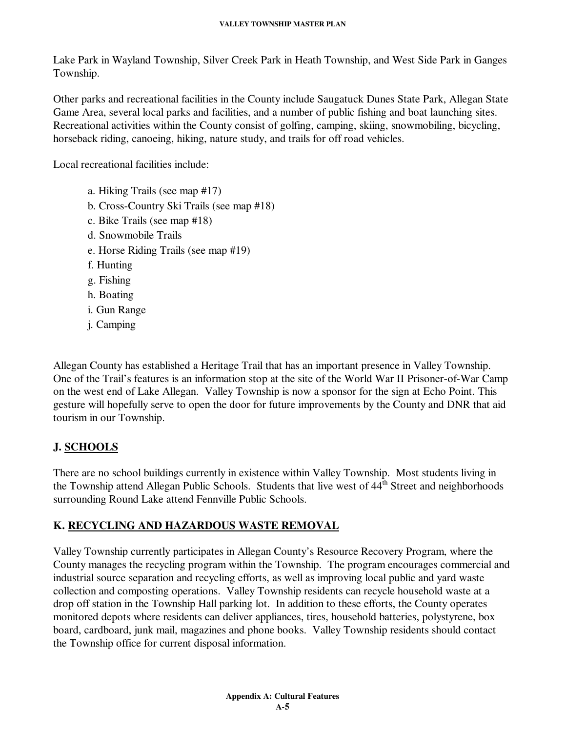Lake Park in Wayland Township, Silver Creek Park in Heath Township, and West Side Park in Ganges Township.

Other parks and recreational facilities in the County include Saugatuck Dunes State Park, Allegan State Game Area, several local parks and facilities, and a number of public fishing and boat launching sites. Recreational activities within the County consist of golfing, camping, skiing, snowmobiling, bicycling, horseback riding, canoeing, hiking, nature study, and trails for off road vehicles.

Local recreational facilities include:

- a. Hiking Trails (see map #17)
- b. Cross-Country Ski Trails (see map #18)
- c. Bike Trails (see map #18)
- d. Snowmobile Trails
- e. Horse Riding Trails (see map #19)
- f. Hunting
- g. Fishing
- h. Boating
- i. Gun Range
- j. Camping

Allegan County has established a Heritage Trail that has an important presence in Valley Township. One of the Trail's features is an information stop at the site of the World War II Prisoner-of-War Camp on the west end of Lake Allegan. Valley Township is now a sponsor for the sign at Echo Point. This gesture will hopefully serve to open the door for future improvements by the County and DNR that aid tourism in our Township.

# **J. SCHOOLS**

There are no school buildings currently in existence within Valley Township. Most students living in the Township attend Allegan Public Schools. Students that live west of  $44^{\text{th}}$  Street and neighborhoods surrounding Round Lake attend Fennville Public Schools.

# **K. RECYCLING AND HAZARDOUS WASTE REMOVAL**

Valley Township currently participates in Allegan County's Resource Recovery Program, where the County manages the recycling program within the Township. The program encourages commercial and industrial source separation and recycling efforts, as well as improving local public and yard waste collection and composting operations. Valley Township residents can recycle household waste at a drop off station in the Township Hall parking lot. In addition to these efforts, the County operates monitored depots where residents can deliver appliances, tires, household batteries, polystyrene, box board, cardboard, junk mail, magazines and phone books. Valley Township residents should contact the Township office for current disposal information.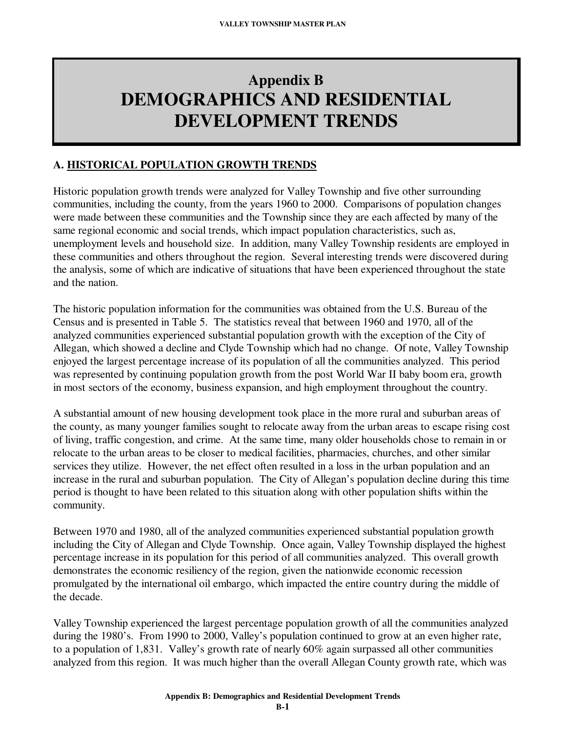# **Appendix B DEMOGRAPHICS AND RESIDENTIAL DEVELOPMENT TRENDS**

### **A. HISTORICAL POPULATION GROWTH TRENDS**

Historic population growth trends were analyzed for Valley Township and five other surrounding communities, including the county, from the years 1960 to 2000. Comparisons of population changes were made between these communities and the Township since they are each affected by many of the same regional economic and social trends, which impact population characteristics, such as, unemployment levels and household size. In addition, many Valley Township residents are employed in these communities and others throughout the region. Several interesting trends were discovered during the analysis, some of which are indicative of situations that have been experienced throughout the state and the nation.

The historic population information for the communities was obtained from the U.S. Bureau of the Census and is presented in Table 5. The statistics reveal that between 1960 and 1970, all of the analyzed communities experienced substantial population growth with the exception of the City of Allegan, which showed a decline and Clyde Township which had no change. Of note, Valley Township enjoyed the largest percentage increase of its population of all the communities analyzed. This period was represented by continuing population growth from the post World War II baby boom era, growth in most sectors of the economy, business expansion, and high employment throughout the country.

A substantial amount of new housing development took place in the more rural and suburban areas of the county, as many younger families sought to relocate away from the urban areas to escape rising cost of living, traffic congestion, and crime. At the same time, many older households chose to remain in or relocate to the urban areas to be closer to medical facilities, pharmacies, churches, and other similar services they utilize. However, the net effect often resulted in a loss in the urban population and an increase in the rural and suburban population. The City of Allegan's population decline during this time period is thought to have been related to this situation along with other population shifts within the community.

Between 1970 and 1980, all of the analyzed communities experienced substantial population growth including the City of Allegan and Clyde Township. Once again, Valley Township displayed the highest percentage increase in its population for this period of all communities analyzed. This overall growth demonstrates the economic resiliency of the region, given the nationwide economic recession promulgated by the international oil embargo, which impacted the entire country during the middle of the decade.

Valley Township experienced the largest percentage population growth of all the communities analyzed during the 1980's. From 1990 to 2000, Valley's population continued to grow at an even higher rate, to a population of 1,831. Valley's growth rate of nearly 60% again surpassed all other communities analyzed from this region. It was much higher than the overall Allegan County growth rate, which was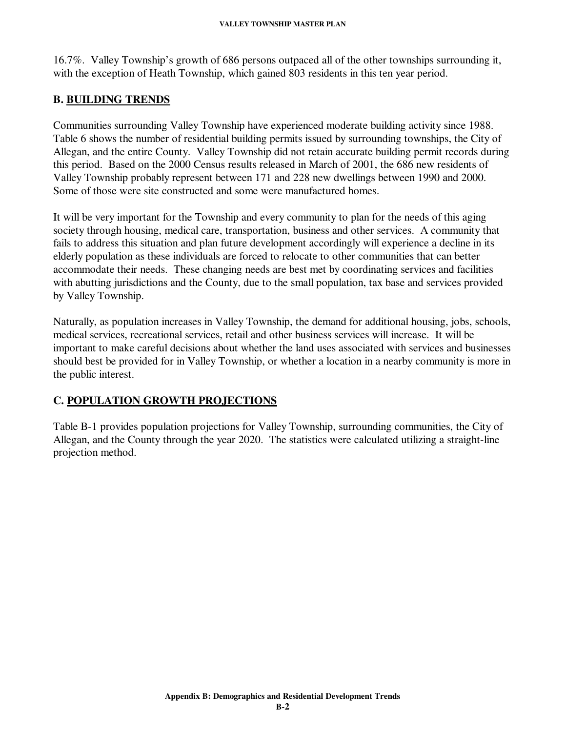16.7%. Valley Township's growth of 686 persons outpaced all of the other townships surrounding it, with the exception of Heath Township, which gained 803 residents in this ten year period.

### **B. BUILDING TRENDS**

Communities surrounding Valley Township have experienced moderate building activity since 1988. Table 6 shows the number of residential building permits issued by surrounding townships, the City of Allegan, and the entire County. Valley Township did not retain accurate building permit records during this period. Based on the 2000 Census results released in March of 2001, the 686 new residents of Valley Township probably represent between 171 and 228 new dwellings between 1990 and 2000. Some of those were site constructed and some were manufactured homes.

It will be very important for the Township and every community to plan for the needs of this aging society through housing, medical care, transportation, business and other services. A community that fails to address this situation and plan future development accordingly will experience a decline in its elderly population as these individuals are forced to relocate to other communities that can better accommodate their needs. These changing needs are best met by coordinating services and facilities with abutting jurisdictions and the County, due to the small population, tax base and services provided by Valley Township.

Naturally, as population increases in Valley Township, the demand for additional housing, jobs, schools, medical services, recreational services, retail and other business services will increase. It will be important to make careful decisions about whether the land uses associated with services and businesses should best be provided for in Valley Township, or whether a location in a nearby community is more in the public interest.

# **C. POPULATION GROWTH PROJECTIONS**

Table B-1 provides population projections for Valley Township, surrounding communities, the City of Allegan, and the County through the year 2020. The statistics were calculated utilizing a straight-line projection method.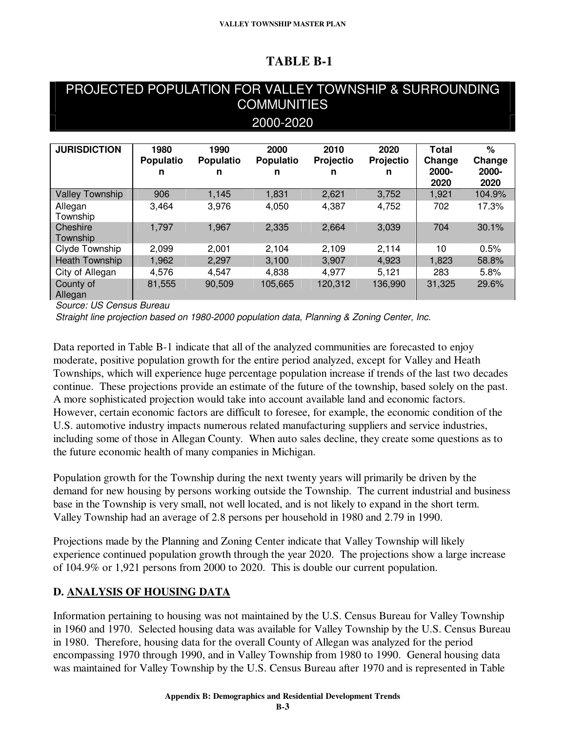# **TABLE B-1**

# PROJECTED POPULATION FOR VALLEY TOWNSHIP & SURROUNDING **COMMUNITIES**

### 2000-2020

| <b>JURISDICTION</b>    | 1980<br>Populatio<br>n | 1990<br><b>Populatio</b><br>n | 2000<br><b>Populatio</b><br>n | 2010<br><b>Projectio</b><br>n | 2020<br><b>Projectio</b><br>n | <b>Total</b><br>Change<br>2000-<br>2020 | %<br>Change<br>$2000 -$<br>2020 |
|------------------------|------------------------|-------------------------------|-------------------------------|-------------------------------|-------------------------------|-----------------------------------------|---------------------------------|
| <b>Valley Township</b> | 906                    | 1,145                         | 1,831                         | 2,621                         | 3,752                         | 1,921                                   | 104.9%                          |
| Allegan<br>Township    | 3,464                  | 3,976                         | 4,050                         | 4,387                         | 4,752                         | 702                                     | 17.3%                           |
| Cheshire<br>Township   | 1,797                  | 1,967                         | 2,335                         | 2,664                         | 3,039                         | 704                                     | 30.1%                           |
| Clyde Township         | 2.099                  | 2.001                         | 2.104                         | 2.109                         | 2,114                         | 10                                      | 0.5%                            |
| <b>Heath Township</b>  | 1,962                  | 2,297                         | 3,100                         | 3,907                         | 4,923                         | 1,823                                   | 58.8%                           |
| City of Allegan        | 4,576                  | 4,547                         | 4,838                         | 4,977                         | 5,121                         | 283                                     | 5.8%                            |
| County of<br>Allegan   | 81,555                 | 90,509                        | 105,665                       | 120,312                       | 136,990                       | 31,325                                  | 29.6%                           |

Source: US Census Bureau

Straight line projection based on 1980-2000 population data, Planning & Zoning Center, Inc.

Data reported in Table B-1 indicate that all of the analyzed communities are forecasted to enjoy moderate, positive population growth for the entire period analyzed, except for Valley and Heath Townships, which will experience huge percentage population increase if trends of the last two decades continue. These projections provide an estimate of the future of the township, based solely on the past. A more sophisticated projection would take into account available land and economic factors. However, certain economic factors are difficult to foresee, for example, the economic condition of the U.S. automotive industry impacts numerous related manufacturing suppliers and service industries, including some of those in Allegan County. When auto sales decline, they create some questions as to the future economic health of many companies in Michigan.

Population growth for the Township during the next twenty years will primarily be driven by the demand for new housing by persons working outside the Township. The current industrial and business base in the Township is very small, not well located, and is not likely to expand in the short term. Valley Township had an average of 2.8 persons per household in 1980 and 2.79 in 1990.

Projections made by the Planning and Zoning Center indicate that Valley Township will likely experience continued population growth through the year 2020. The projections show a large increase of 104.9% or 1,921 persons from 2000 to 2020. This is double our current population.

### **D. ANALYSIS OF HOUSING DATA**

Information pertaining to housing was not maintained by the U.S. Census Bureau for Valley Township in 1960 and 1970. Selected housing data was available for Valley Township by the U.S. Census Bureau in 1980. Therefore, housing data for the overall County of Allegan was analyzed for the period encompassing 1970 through 1990, and in Valley Township from 1980 to 1990. General housing data was maintained for Valley Township by the U.S. Census Bureau after 1970 and is represented in Table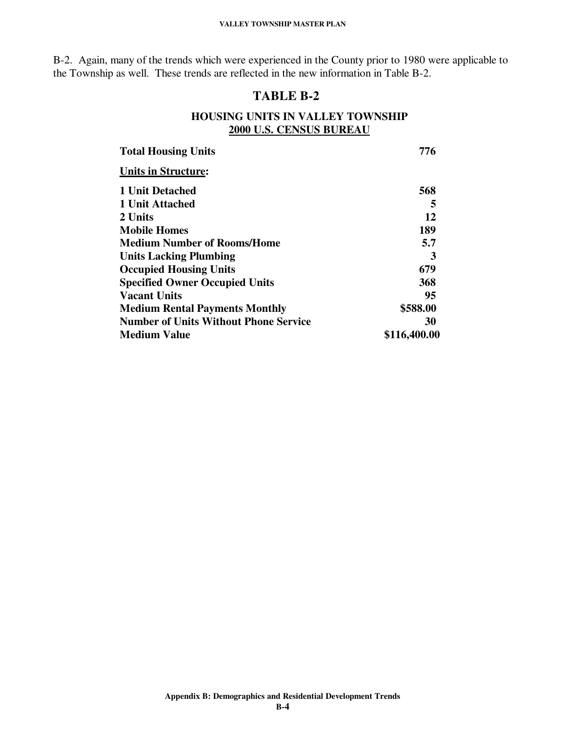B-2. Again, many of the trends which were experienced in the County prior to 1980 were applicable to the Township as well. These trends are reflected in the new information in Table B-2.

### **TABLE B-2**

### **HOUSING UNITS IN VALLEY TOWNSHIP 2000 U.S. CENSUS BUREAU**

| <b>Total Housing Units</b>                   | 776          |
|----------------------------------------------|--------------|
| <b>Units in Structure:</b>                   |              |
| <b>1 Unit Detached</b>                       | 568          |
| 1 Unit Attached                              | 5            |
| 2 Units                                      | 12           |
| <b>Mobile Homes</b>                          | 189          |
| <b>Medium Number of Rooms/Home</b>           | 5.7          |
| <b>Units Lacking Plumbing</b>                | 3            |
| <b>Occupied Housing Units</b>                | 679          |
| <b>Specified Owner Occupied Units</b>        | 368          |
| <b>Vacant Units</b>                          | 95           |
| <b>Medium Rental Payments Monthly</b>        | \$588.00     |
| <b>Number of Units Without Phone Service</b> | 30           |
| <b>Medium Value</b>                          | \$116,400.00 |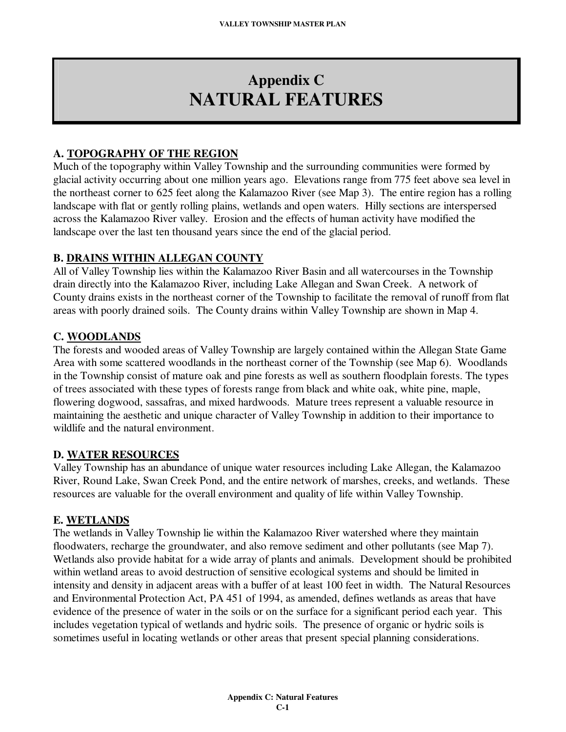# **Appendix C NATURAL FEATURES**

### **A. TOPOGRAPHY OF THE REGION**

Much of the topography within Valley Township and the surrounding communities were formed by glacial activity occurring about one million years ago. Elevations range from 775 feet above sea level in the northeast corner to 625 feet along the Kalamazoo River (see Map 3). The entire region has a rolling landscape with flat or gently rolling plains, wetlands and open waters. Hilly sections are interspersed across the Kalamazoo River valley. Erosion and the effects of human activity have modified the landscape over the last ten thousand years since the end of the glacial period.

### **B. DRAINS WITHIN ALLEGAN COUNTY**

All of Valley Township lies within the Kalamazoo River Basin and all watercourses in the Township drain directly into the Kalamazoo River, including Lake Allegan and Swan Creek. A network of County drains exists in the northeast corner of the Township to facilitate the removal of runoff from flat areas with poorly drained soils. The County drains within Valley Township are shown in Map 4.

### **C. WOODLANDS**

The forests and wooded areas of Valley Township are largely contained within the Allegan State Game Area with some scattered woodlands in the northeast corner of the Township (see Map 6). Woodlands in the Township consist of mature oak and pine forests as well as southern floodplain forests. The types of trees associated with these types of forests range from black and white oak, white pine, maple, flowering dogwood, sassafras, and mixed hardwoods. Mature trees represent a valuable resource in maintaining the aesthetic and unique character of Valley Township in addition to their importance to wildlife and the natural environment.

### **D. WATER RESOURCES**

Valley Township has an abundance of unique water resources including Lake Allegan, the Kalamazoo River, Round Lake, Swan Creek Pond, and the entire network of marshes, creeks, and wetlands. These resources are valuable for the overall environment and quality of life within Valley Township.

### **E. WETLANDS**

The wetlands in Valley Township lie within the Kalamazoo River watershed where they maintain floodwaters, recharge the groundwater, and also remove sediment and other pollutants (see Map 7). Wetlands also provide habitat for a wide array of plants and animals. Development should be prohibited within wetland areas to avoid destruction of sensitive ecological systems and should be limited in intensity and density in adjacent areas with a buffer of at least 100 feet in width. The Natural Resources and Environmental Protection Act, PA 451 of 1994, as amended, defines wetlands as areas that have evidence of the presence of water in the soils or on the surface for a significant period each year. This includes vegetation typical of wetlands and hydric soils. The presence of organic or hydric soils is sometimes useful in locating wetlands or other areas that present special planning considerations.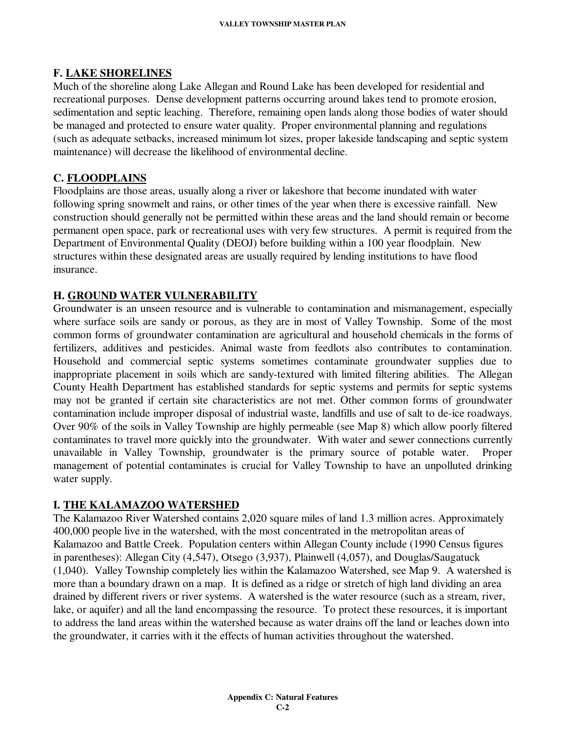### **F. LAKE SHORELINES**

Much of the shoreline along Lake Allegan and Round Lake has been developed for residential and recreational purposes. Dense development patterns occurring around lakes tend to promote erosion, sedimentation and septic leaching. Therefore, remaining open lands along those bodies of water should be managed and protected to ensure water quality. Proper environmental planning and regulations (such as adequate setbacks, increased minimum lot sizes, proper lakeside landscaping and septic system maintenance) will decrease the likelihood of environmental decline.

### **C. FLOODPLAINS**

Floodplains are those areas, usually along a river or lakeshore that become inundated with water following spring snowmelt and rains, or other times of the year when there is excessive rainfall. New construction should generally not be permitted within these areas and the land should remain or become permanent open space, park or recreational uses with very few structures. A permit is required from the Department of Environmental Quality (DEOJ) before building within a 100 year floodplain. New structures within these designated areas are usually required by lending institutions to have flood insurance.

### **H. GROUND WATER VULNERABILITY**

Groundwater is an unseen resource and is vulnerable to contamination and mismanagement, especially where surface soils are sandy or porous, as they are in most of Valley Township. Some of the most common forms of groundwater contamination are agricultural and household chemicals in the forms of fertilizers, additives and pesticides. Animal waste from feedlots also contributes to contamination. Household and commercial septic systems sometimes contaminate groundwater supplies due to inappropriate placement in soils which are sandy-textured with limited filtering abilities. The Allegan County Health Department has established standards for septic systems and permits for septic systems may not be granted if certain site characteristics are not met. Other common forms of groundwater contamination include improper disposal of industrial waste, landfills and use of salt to de-ice roadways. Over 90% of the soils in Valley Township are highly permeable (see Map 8) which allow poorly filtered contaminates to travel more quickly into the groundwater. With water and sewer connections currently unavailable in Valley Township, groundwater is the primary source of potable water. Proper management of potential contaminates is crucial for Valley Township to have an unpolluted drinking water supply.

### **I. THE KALAMAZOO WATERSHED**

The Kalamazoo River Watershed contains 2,020 square miles of land 1.3 million acres. Approximately 400,000 people live in the watershed, with the most concentrated in the metropolitan areas of Kalamazoo and Battle Creek. Population centers within Allegan County include (1990 Census figures in parentheses): Allegan City (4,547), Otsego (3,937), Plainwell (4,057), and Douglas/Saugatuck (1,040). Valley Township completely lies within the Kalamazoo Watershed, see Map 9. A watershed is more than a boundary drawn on a map. It is defined as a ridge or stretch of high land dividing an area drained by different rivers or river systems. A watershed is the water resource (such as a stream, river, lake, or aquifer) and all the land encompassing the resource. To protect these resources, it is important to address the land areas within the watershed because as water drains off the land or leaches down into the groundwater, it carries with it the effects of human activities throughout the watershed.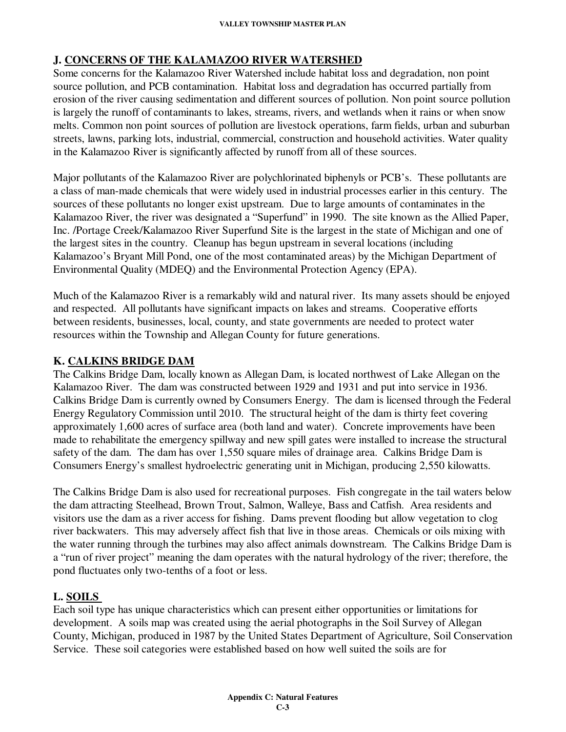### **J. CONCERNS OF THE KALAMAZOO RIVER WATERSHED**

Some concerns for the Kalamazoo River Watershed include habitat loss and degradation, non point source pollution, and PCB contamination. Habitat loss and degradation has occurred partially from erosion of the river causing sedimentation and different sources of pollution. Non point source pollution is largely the runoff of contaminants to lakes, streams, rivers, and wetlands when it rains or when snow melts. Common non point sources of pollution are livestock operations, farm fields, urban and suburban streets, lawns, parking lots, industrial, commercial, construction and household activities. Water quality in the Kalamazoo River is significantly affected by runoff from all of these sources.

Major pollutants of the Kalamazoo River are polychlorinated biphenyls or PCB's. These pollutants are a class of man-made chemicals that were widely used in industrial processes earlier in this century. The sources of these pollutants no longer exist upstream. Due to large amounts of contaminates in the Kalamazoo River, the river was designated a "Superfund" in 1990. The site known as the Allied Paper, Inc. /Portage Creek/Kalamazoo River Superfund Site is the largest in the state of Michigan and one of the largest sites in the country. Cleanup has begun upstream in several locations (including Kalamazoo's Bryant Mill Pond, one of the most contaminated areas) by the Michigan Department of Environmental Quality (MDEQ) and the Environmental Protection Agency (EPA).

Much of the Kalamazoo River is a remarkably wild and natural river. Its many assets should be enjoyed and respected. All pollutants have significant impacts on lakes and streams. Cooperative efforts between residents, businesses, local, county, and state governments are needed to protect water resources within the Township and Allegan County for future generations.

### **K. CALKINS BRIDGE DAM**

The Calkins Bridge Dam, locally known as Allegan Dam, is located northwest of Lake Allegan on the Kalamazoo River. The dam was constructed between 1929 and 1931 and put into service in 1936. Calkins Bridge Dam is currently owned by Consumers Energy. The dam is licensed through the Federal Energy Regulatory Commission until 2010. The structural height of the dam is thirty feet covering approximately 1,600 acres of surface area (both land and water). Concrete improvements have been made to rehabilitate the emergency spillway and new spill gates were installed to increase the structural safety of the dam. The dam has over 1,550 square miles of drainage area. Calkins Bridge Dam is Consumers Energy's smallest hydroelectric generating unit in Michigan, producing 2,550 kilowatts.

The Calkins Bridge Dam is also used for recreational purposes. Fish congregate in the tail waters below the dam attracting Steelhead, Brown Trout, Salmon, Walleye, Bass and Catfish. Area residents and visitors use the dam as a river access for fishing. Dams prevent flooding but allow vegetation to clog river backwaters. This may adversely affect fish that live in those areas. Chemicals or oils mixing with the water running through the turbines may also affect animals downstream. The Calkins Bridge Dam is a "run of river project" meaning the dam operates with the natural hydrology of the river; therefore, the pond fluctuates only two-tenths of a foot or less.

### **L. SOILS**

Each soil type has unique characteristics which can present either opportunities or limitations for development. A soils map was created using the aerial photographs in the Soil Survey of Allegan County, Michigan, produced in 1987 by the United States Department of Agriculture, Soil Conservation Service. These soil categories were established based on how well suited the soils are for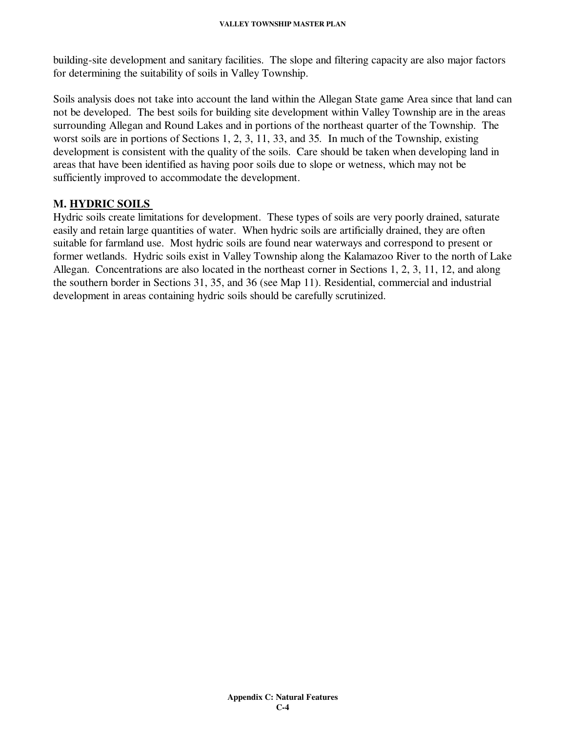building-site development and sanitary facilities. The slope and filtering capacity are also major factors for determining the suitability of soils in Valley Township.

Soils analysis does not take into account the land within the Allegan State game Area since that land can not be developed. The best soils for building site development within Valley Township are in the areas surrounding Allegan and Round Lakes and in portions of the northeast quarter of the Township. The worst soils are in portions of Sections 1, 2, 3, 11, 33, and 35*.* In much of the Township, existing development is consistent with the quality of the soils. Care should be taken when developing land in areas that have been identified as having poor soils due to slope or wetness, which may not be sufficiently improved to accommodate the development.

### **M. HYDRIC SOILS**

Hydric soils create limitations for development. These types of soils are very poorly drained, saturate easily and retain large quantities of water. When hydric soils are artificially drained, they are often suitable for farmland use. Most hydric soils are found near waterways and correspond to present or former wetlands. Hydric soils exist in Valley Township along the Kalamazoo River to the north of Lake Allegan. Concentrations are also located in the northeast corner in Sections 1, 2, 3, 11, 12, and along the southern border in Sections 31, 35, and 36 (see Map 11). Residential, commercial and industrial development in areas containing hydric soils should be carefully scrutinized.